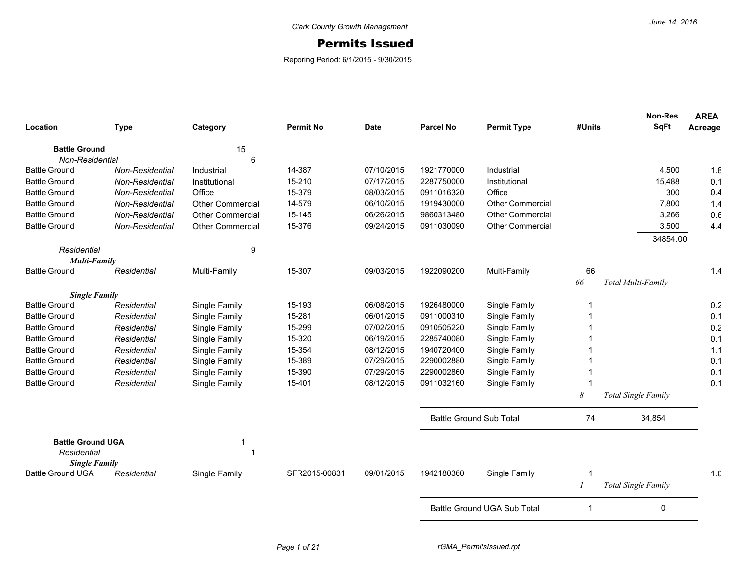## Permits Issued

Reporing Period: 6/1/2015 - 9/30/2015

| Location                                     | <b>Type</b>     | Category                | <b>Permit No</b> | <b>Date</b> | <b>Parcel No</b>               | <b>Permit Type</b>          | #Units         | Non-Res<br><b>SqFt</b>     | <b>AREA</b><br>Acreage |
|----------------------------------------------|-----------------|-------------------------|------------------|-------------|--------------------------------|-----------------------------|----------------|----------------------------|------------------------|
|                                              |                 |                         |                  |             |                                |                             |                |                            |                        |
| <b>Battle Ground</b>                         |                 | 15                      |                  |             |                                |                             |                |                            |                        |
| Non-Residential                              |                 | 6                       |                  |             |                                |                             |                |                            |                        |
| <b>Battle Ground</b>                         | Non-Residential | Industrial              | 14-387           | 07/10/2015  | 1921770000                     | Industrial                  |                | 4,500                      | 1.8                    |
| <b>Battle Ground</b>                         | Non-Residential | Institutional           | 15-210           | 07/17/2015  | 2287750000                     | Institutional               |                | 15,488                     | 0.1                    |
| <b>Battle Ground</b>                         | Non-Residential | Office                  | 15-379           | 08/03/2015  | 0911016320                     | Office                      |                | 300                        | 0.4                    |
| <b>Battle Ground</b>                         | Non-Residential | <b>Other Commercial</b> | 14-579           | 06/10/2015  | 1919430000                     | <b>Other Commercial</b>     |                | 7,800                      | 1.4                    |
| <b>Battle Ground</b>                         | Non-Residential | <b>Other Commercial</b> | 15-145           | 06/26/2015  | 9860313480                     | <b>Other Commercial</b>     |                | 3,266                      | 0.6                    |
| <b>Battle Ground</b>                         | Non-Residential | <b>Other Commercial</b> | 15-376           | 09/24/2015  | 0911030090                     | <b>Other Commercial</b>     |                | 3,500                      | 4.4                    |
|                                              |                 |                         |                  |             |                                |                             |                | 34854.00                   |                        |
| Residential                                  |                 | 9                       |                  |             |                                |                             |                |                            |                        |
| Multi-Family<br><b>Battle Ground</b>         | Residential     | Multi-Family            | 15-307           | 09/03/2015  | 1922090200                     | Multi-Family                | 66             |                            | 1.4                    |
|                                              |                 |                         |                  |             |                                |                             | 66             | Total Multi-Family         |                        |
|                                              |                 |                         |                  |             |                                |                             |                |                            |                        |
| <b>Single Family</b><br><b>Battle Ground</b> | Residential     | Single Family           | 15-193           | 06/08/2015  | 1926480000                     | Single Family               | 1              |                            | 0.2                    |
| <b>Battle Ground</b>                         | Residential     | Single Family           | 15-281           | 06/01/2015  | 0911000310                     | Single Family               |                |                            | 0.1                    |
| <b>Battle Ground</b>                         | Residential     | Single Family           | 15-299           | 07/02/2015  | 0910505220                     | Single Family               |                |                            | 0.2                    |
| <b>Battle Ground</b>                         | Residential     | Single Family           | 15-320           | 06/19/2015  | 2285740080                     | Single Family               |                |                            | 0.1                    |
| <b>Battle Ground</b>                         | Residential     | Single Family           | 15-354           | 08/12/2015  | 1940720400                     | Single Family               |                |                            | 1.1                    |
| <b>Battle Ground</b>                         | Residential     | Single Family           | 15-389           | 07/29/2015  | 2290002880                     | Single Family               |                |                            | 0.1                    |
| <b>Battle Ground</b>                         | Residential     | Single Family           | 15-390           | 07/29/2015  | 2290002860                     | Single Family               |                |                            | 0.1                    |
| <b>Battle Ground</b>                         | Residential     | Single Family           | 15-401           | 08/12/2015  | 0911032160                     | Single Family               |                |                            | 0.1                    |
|                                              |                 |                         |                  |             |                                |                             | 8              | Total Single Family        |                        |
|                                              |                 |                         |                  |             |                                |                             |                |                            |                        |
|                                              |                 |                         |                  |             | <b>Battle Ground Sub Total</b> |                             | 74             | 34,854                     |                        |
| <b>Battle Ground UGA</b>                     |                 |                         |                  |             |                                |                             |                |                            |                        |
| Residential                                  |                 | 1                       |                  |             |                                |                             |                |                            |                        |
| <b>Single Family</b>                         |                 |                         |                  |             |                                |                             |                |                            |                        |
| <b>Battle Ground UGA</b>                     | Residential     | Single Family           | SFR2015-00831    | 09/01/2015  | 1942180360                     | Single Family               |                |                            | 1 <sub>c</sub>         |
|                                              |                 |                         |                  |             |                                |                             | $\overline{I}$ | <b>Total Single Family</b> |                        |
|                                              |                 |                         |                  |             |                                | Battle Ground UGA Sub Total | 1              | 0                          |                        |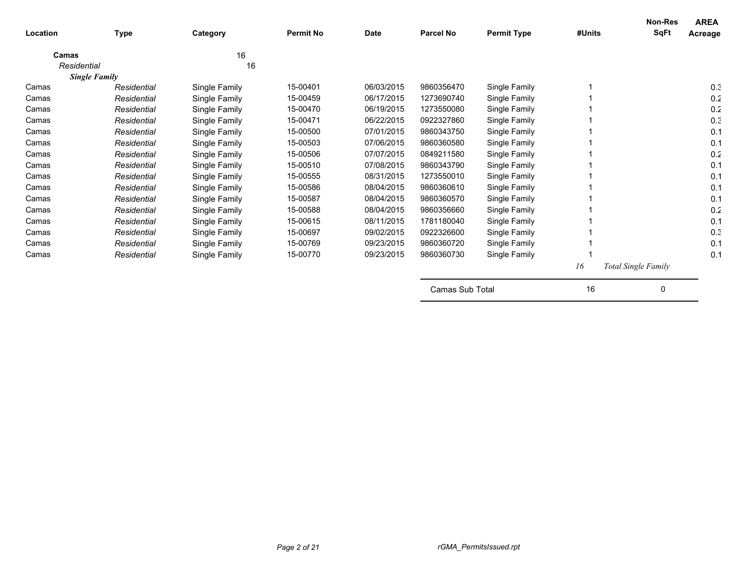| Location    | <b>Type</b>          | Category      | <b>Permit No</b> | <b>Date</b> | <b>Parcel No</b> | <b>Permit Type</b> | #Units | Non-Res<br><b>SqFt</b>     | <b>AREA</b><br>Acreage |
|-------------|----------------------|---------------|------------------|-------------|------------------|--------------------|--------|----------------------------|------------------------|
| Camas       |                      | 16            |                  |             |                  |                    |        |                            |                        |
| Residential |                      | 16            |                  |             |                  |                    |        |                            |                        |
|             | <b>Single Family</b> |               |                  |             |                  |                    |        |                            |                        |
| Camas       | Residential          | Single Family | 15-00401         | 06/03/2015  | 9860356470       | Single Family      |        |                            | 0.3                    |
| Camas       | Residential          | Single Family | 15-00459         | 06/17/2015  | 1273690740       | Single Family      |        |                            | 0.2                    |
| Camas       | Residential          | Single Family | 15-00470         | 06/19/2015  | 1273550080       | Single Family      |        |                            | 0.2                    |
| Camas       | Residential          | Single Family | 15-00471         | 06/22/2015  | 0922327860       | Single Family      |        |                            | 0.3                    |
| Camas       | Residential          | Single Family | 15-00500         | 07/01/2015  | 9860343750       | Single Family      |        |                            | 0.1                    |
| Camas       | Residential          | Single Family | 15-00503         | 07/06/2015  | 9860360580       | Single Family      |        |                            | 0.1                    |
| Camas       | Residential          | Single Family | 15-00506         | 07/07/2015  | 0849211580       | Single Family      |        |                            | 0.2                    |
| Camas       | Residential          | Single Family | 15-00510         | 07/08/2015  | 9860343790       | Single Family      |        |                            | 0.1                    |
| Camas       | Residential          | Single Family | 15-00555         | 08/31/2015  | 1273550010       | Single Family      |        |                            | 0.1                    |
| Camas       | Residential          | Single Family | 15-00586         | 08/04/2015  | 9860360610       | Single Family      |        |                            | 0.1                    |
| Camas       | Residential          | Single Family | 15-00587         | 08/04/2015  | 9860360570       | Single Family      |        |                            | 0.1                    |
| Camas       | Residential          | Single Family | 15-00588         | 08/04/2015  | 9860356660       | Single Family      |        |                            | 0.2                    |
| Camas       | Residential          | Single Family | 15-00615         | 08/11/2015  | 1781180040       | Single Family      |        |                            | 0.1                    |
| Camas       | Residential          | Single Family | 15-00697         | 09/02/2015  | 0922326600       | Single Family      |        |                            | 0.3                    |
| Camas       | Residential          | Single Family | 15-00769         | 09/23/2015  | 9860360720       | Single Family      |        |                            | 0.1                    |
| Camas       | Residential          | Single Family | 15-00770         | 09/23/2015  | 9860360730       | Single Family      |        |                            | 0.1                    |
|             |                      |               |                  |             |                  |                    | 16     | <b>Total Single Family</b> |                        |
|             |                      |               |                  |             | Camas Sub Total  |                    | 16     | 0                          |                        |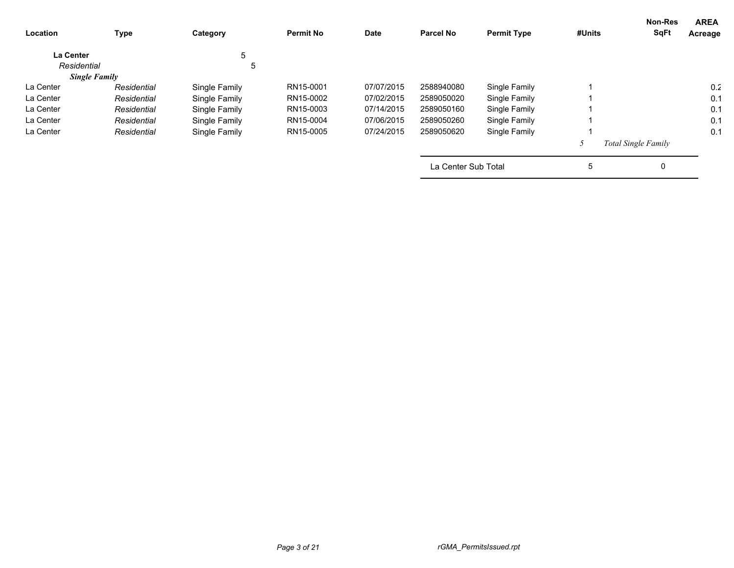| Location         | <b>Type</b>          | Category      | <b>Permit No</b> | <b>Date</b> | <b>Parcel No</b>    | <b>Permit Type</b> | #Units | <b>Non-Res</b><br><b>SqFt</b> | <b>AREA</b><br>Acreage |
|------------------|----------------------|---------------|------------------|-------------|---------------------|--------------------|--------|-------------------------------|------------------------|
| <b>La Center</b> |                      | 5             |                  |             |                     |                    |        |                               |                        |
| Residential      |                      | 5             |                  |             |                     |                    |        |                               |                        |
|                  | <b>Single Family</b> |               |                  |             |                     |                    |        |                               |                        |
| La Center        | Residential          | Single Family | RN15-0001        | 07/07/2015  | 2588940080          | Single Family      |        |                               | 0.2                    |
| La Center        | Residential          | Single Family | RN15-0002        | 07/02/2015  | 2589050020          | Single Family      |        |                               | 0.1                    |
| La Center        | Residential          | Single Family | RN15-0003        | 07/14/2015  | 2589050160          | Single Family      |        |                               | 0.1                    |
| La Center        | Residential          | Single Family | RN15-0004        | 07/06/2015  | 2589050260          | Single Family      |        |                               | 0.1                    |
| La Center        | Residential          | Single Family | RN15-0005        | 07/24/2015  | 2589050620          | Single Family      |        |                               | 0.1                    |
|                  |                      |               |                  |             |                     |                    |        | Total Single Family           |                        |
|                  |                      |               |                  |             | La Center Sub Total |                    | 5      | 0                             |                        |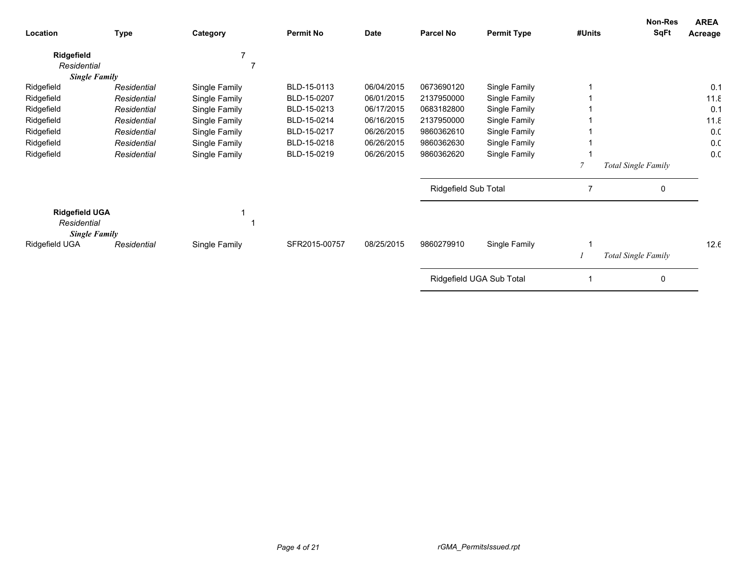| Location                                                     | <b>Type</b> | Category      | <b>Permit No</b> | <b>Date</b> | <b>Parcel No</b>     | <b>Permit Type</b>       | #Units | Non-Res<br><b>SqFt</b> | <b>AREA</b><br>Acreage |
|--------------------------------------------------------------|-------------|---------------|------------------|-------------|----------------------|--------------------------|--------|------------------------|------------------------|
| Ridgefield                                                   |             |               |                  |             |                      |                          |        |                        |                        |
| Residential                                                  |             | ∍             |                  |             |                      |                          |        |                        |                        |
| <b>Single Family</b>                                         |             |               |                  |             |                      |                          |        |                        |                        |
| Ridgefield                                                   | Residential | Single Family | BLD-15-0113      | 06/04/2015  | 0673690120           | Single Family            |        |                        | 0.1                    |
| Ridgefield                                                   | Residential | Single Family | BLD-15-0207      | 06/01/2015  | 2137950000           | Single Family            |        |                        | 11.8                   |
| Ridgefield                                                   | Residential | Single Family | BLD-15-0213      | 06/17/2015  | 0683182800           | Single Family            |        |                        | 0.1                    |
| Ridgefield                                                   | Residential | Single Family | BLD-15-0214      | 06/16/2015  | 2137950000           | Single Family            |        |                        | 11.8                   |
| Ridgefield                                                   | Residential | Single Family | BLD-15-0217      | 06/26/2015  | 9860362610           | Single Family            |        |                        | 0.0                    |
| Ridgefield                                                   | Residential | Single Family | BLD-15-0218      | 06/26/2015  | 9860362630           | Single Family            |        |                        | 0.0                    |
| Ridgefield                                                   | Residential | Single Family | BLD-15-0219      | 06/26/2015  | 9860362620           | Single Family            |        |                        | 0.0                    |
|                                                              |             |               |                  |             |                      |                          |        | Total Single Family    |                        |
|                                                              |             |               |                  |             | Ridgefield Sub Total |                          | 7      | 0                      |                        |
| <b>Ridgefield UGA</b><br>Residential<br><b>Single Family</b> |             |               |                  |             |                      |                          |        |                        |                        |
| Ridgefield UGA                                               | Residential | Single Family | SFR2015-00757    | 08/25/2015  | 9860279910           | Single Family            |        |                        | 12.6                   |
|                                                              |             |               |                  |             |                      |                          |        | Total Single Family    |                        |
|                                                              |             |               |                  |             |                      | Ridgefield UGA Sub Total |        | 0                      |                        |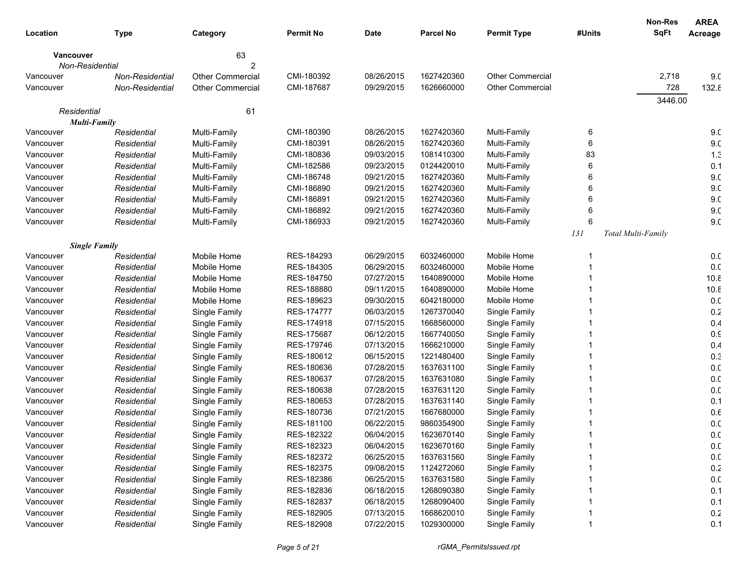|             |                      |                         |                  |             |                  |                         |        | <b>Non-Res</b>     | <b>AREA</b>     |
|-------------|----------------------|-------------------------|------------------|-------------|------------------|-------------------------|--------|--------------------|-----------------|
| Location    | <b>Type</b>          | Category                | <b>Permit No</b> | <b>Date</b> | <b>Parcel No</b> | <b>Permit Type</b>      | #Units | <b>SqFt</b>        | Acreage         |
| Vancouver   |                      | 63                      |                  |             |                  |                         |        |                    |                 |
|             | Non-Residential      | 2                       |                  |             |                  |                         |        |                    |                 |
| Vancouver   | Non-Residential      | <b>Other Commercial</b> | CMI-180392       | 08/26/2015  | 1627420360       | <b>Other Commercial</b> |        | 2,718              | 9 <sub>c</sub>  |
| Vancouver   | Non-Residential      | <b>Other Commercial</b> | CMI-187687       | 09/29/2015  | 1626660000       | <b>Other Commercial</b> |        | 728                | 132.8           |
|             |                      |                         |                  |             |                  |                         |        | 3446.00            |                 |
| Residential |                      | 61                      |                  |             |                  |                         |        |                    |                 |
|             | <b>Multi-Family</b>  |                         |                  |             |                  |                         |        |                    |                 |
| Vancouver   | Residential          | Multi-Family            | CMI-180390       | 08/26/2015  | 1627420360       | Multi-Family            | 6      |                    | 9 <sub>c</sub>  |
| Vancouver   | Residential          | Multi-Family            | CMI-180391       | 08/26/2015  | 1627420360       | Multi-Family            | 6      |                    | 9 <sub>c</sub>  |
| Vancouver   | Residential          | Multi-Family            | CMI-180836       | 09/03/2015  | 1081410300       | Multi-Family            | 83     |                    | 1.3             |
| Vancouver   | Residential          | Multi-Family            | CMI-182586       | 09/23/2015  | 0124420010       | Multi-Family            | 6      |                    | 0.1             |
| Vancouver   | Residential          | Multi-Family            | CMI-186748       | 09/21/2015  | 1627420360       | Multi-Family            | 6      |                    | 9 <sub>c</sub>  |
| Vancouver   | Residential          | Multi-Family            | CMI-186890       | 09/21/2015  | 1627420360       | Multi-Family            | 6      |                    | 9 <sub>c</sub>  |
| Vancouver   | Residential          | Multi-Family            | CMI-186891       | 09/21/2015  | 1627420360       | Multi-Family            | 6      |                    | 9 <sub>c</sub>  |
| Vancouver   | Residential          | Multi-Family            | CMI-186892       | 09/21/2015  | 1627420360       | Multi-Family            |        |                    | 9 <sub>c</sub>  |
| Vancouver   | Residential          | Multi-Family            | CMI-186933       | 09/21/2015  | 1627420360       | Multi-Family            | 6      |                    | 9 <sub>c</sub>  |
|             |                      |                         |                  |             |                  |                         | 131    | Total Multi-Family |                 |
|             | <b>Single Family</b> |                         |                  |             |                  |                         |        |                    |                 |
| Vancouver   | Residential          | Mobile Home             | RES-184293       | 06/29/2015  | 6032460000       | Mobile Home             |        |                    | 0.0             |
| Vancouver   | Residential          | Mobile Home             | RES-184305       | 06/29/2015  | 6032460000       | Mobile Home             |        |                    | 0.0             |
| Vancouver   | Residential          | Mobile Home             | RES-184750       | 07/27/2015  | 1640890000       | Mobile Home             |        |                    | 10.8            |
| Vancouver   | Residential          | Mobile Home             | RES-188880       | 09/11/2015  | 1640890000       | Mobile Home             |        |                    | 10.8            |
| Vancouver   | Residential          | Mobile Home             | RES-189623       | 09/30/2015  | 6042180000       | Mobile Home             |        |                    | 0.0             |
| Vancouver   | Residential          | Single Family           | RES-174777       | 06/03/2015  | 1267370040       | Single Family           |        |                    | 0.2             |
| Vancouver   | Residential          | Single Family           | RES-174918       | 07/15/2015  | 1668560000       | Single Family           |        |                    | 0.4             |
| Vancouver   | Residential          | Single Family           | RES-175687       | 06/12/2015  | 1667740050       | Single Family           |        |                    | 0.9             |
| Vancouver   | Residential          | Single Family           | RES-179746       | 07/13/2015  | 1666210000       | Single Family           |        |                    | 0.4             |
| Vancouver   | Residential          | Single Family           | RES-180612       | 06/15/2015  | 1221480400       | Single Family           |        |                    | 0.3             |
| Vancouver   | Residential          | Single Family           | RES-180636       | 07/28/2015  | 1637631100       | Single Family           |        |                    | 0. <sub>C</sub> |
| Vancouver   | Residential          | Single Family           | RES-180637       | 07/28/2015  | 1637631080       | Single Family           |        |                    | 0.0             |
| Vancouver   | Residential          | Single Family           | RES-180638       | 07/28/2015  | 1637631120       | Single Family           |        |                    | 0.0             |
| Vancouver   | Residential          | Single Family           | RES-180653       | 07/28/2015  | 1637631140       | Single Family           |        |                    | 0.1             |
| Vancouver   | Residential          | Single Family           | RES-180736       | 07/21/2015  | 1667680000       | Single Family           |        |                    | 0.6             |
| Vancouver   | Residential          | Single Family           | RES-181100       | 06/22/2015  | 9860354900       | Single Family           |        |                    | 0. <sub>C</sub> |
| Vancouver   | Residential          | Single Family           | RES-182322       | 06/04/2015  | 1623670140       | Single Family           |        |                    | 0.0             |
| Vancouver   | Residential          | Single Family           | RES-182323       | 06/04/2015  | 1623670160       | Single Family           |        |                    | 0.0             |
| Vancouver   | Residential          | Single Family           | RES-182372       | 06/25/2015  | 1637631560       | Single Family           |        |                    | 0.0             |
| Vancouver   | Residential          | Single Family           | RES-182375       | 09/08/2015  | 1124272060       | Single Family           |        |                    | 0.2             |
| Vancouver   | Residential          | Single Family           | RES-182386       | 06/25/2015  | 1637631580       | Single Family           |        |                    | 0. <sub>C</sub> |
| Vancouver   | Residential          | Single Family           | RES-182836       | 06/18/2015  | 1268090380       | Single Family           |        |                    | 0.1             |
| Vancouver   | Residential          | Single Family           | RES-182837       | 06/18/2015  | 1268090400       | Single Family           |        |                    | 0.1             |
| Vancouver   | Residential          | Single Family           | RES-182905       | 07/13/2015  | 1668620010       | Single Family           |        |                    | 0.2             |
| Vancouver   | Residential          | Single Family           | RES-182908       | 07/22/2015  | 1029300000       | Single Family           |        |                    | 0.1             |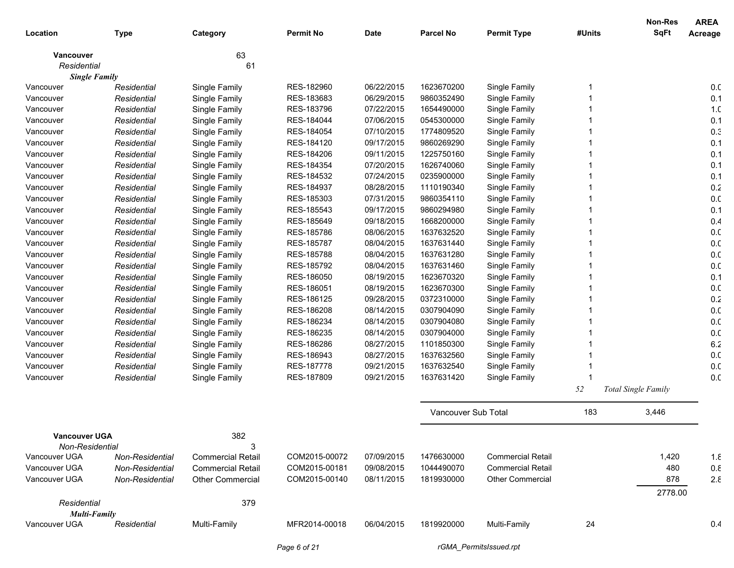|                      |                 |                          |                  |            |                     |                          |        | <b>Non-Res</b>             | <b>AREA</b>     |
|----------------------|-----------------|--------------------------|------------------|------------|---------------------|--------------------------|--------|----------------------------|-----------------|
| Location             | <b>Type</b>     | Category                 | <b>Permit No</b> | Date       | <b>Parcel No</b>    | <b>Permit Type</b>       | #Units | <b>SqFt</b>                | Acreage         |
| <b>Vancouver</b>     |                 | 63                       |                  |            |                     |                          |        |                            |                 |
| Residential          |                 | 61                       |                  |            |                     |                          |        |                            |                 |
| <b>Single Family</b> |                 |                          |                  |            |                     |                          |        |                            |                 |
| Vancouver            | Residential     | Single Family            | RES-182960       | 06/22/2015 | 1623670200          | Single Family            |        |                            | 0. <sub>C</sub> |
| Vancouver            | Residential     | Single Family            | RES-183683       | 06/29/2015 | 9860352490          | Single Family            |        |                            | 0.1             |
| Vancouver            | Residential     | Single Family            | RES-183796       | 07/22/2015 | 1654490000          | Single Family            |        |                            | 1. <sub>C</sub> |
| Vancouver            | Residential     | Single Family            | RES-184044       | 07/06/2015 | 0545300000          | Single Family            |        |                            | 0.1             |
| Vancouver            | Residential     | Single Family            | RES-184054       | 07/10/2015 | 1774809520          | Single Family            |        |                            | 0.3             |
| Vancouver            | Residential     | Single Family            | RES-184120       | 09/17/2015 | 9860269290          | Single Family            |        |                            | 0.1             |
| Vancouver            | Residential     | Single Family            | RES-184206       | 09/11/2015 | 1225750160          | Single Family            |        |                            | 0.1             |
| Vancouver            | Residential     | Single Family            | RES-184354       | 07/20/2015 | 1626740060          | Single Family            |        |                            | 0.1             |
| Vancouver            | Residential     | Single Family            | RES-184532       | 07/24/2015 | 0235900000          | Single Family            |        |                            | 0.1             |
| Vancouver            | Residential     | Single Family            | RES-184937       | 08/28/2015 | 1110190340          | Single Family            |        |                            | 0.2             |
| Vancouver            | Residential     | Single Family            | RES-185303       | 07/31/2015 | 9860354110          | Single Family            |        |                            | 0. <sub>C</sub> |
| Vancouver            | Residential     | Single Family            | RES-185543       | 09/17/2015 | 9860294980          | Single Family            |        |                            | 0.1             |
| Vancouver            | Residential     | Single Family            | RES-185649       | 09/18/2015 | 1668200000          | Single Family            |        |                            | 0.4             |
| Vancouver            | Residential     | Single Family            | RES-185786       | 08/06/2015 | 1637632520          | Single Family            |        |                            | 0. <sub>C</sub> |
| Vancouver            | Residential     | Single Family            | RES-185787       | 08/04/2015 | 1637631440          | Single Family            |        |                            | 0. <sub>C</sub> |
| Vancouver            | Residential     | Single Family            | RES-185788       | 08/04/2015 | 1637631280          | Single Family            |        |                            | 0. <sub>C</sub> |
| Vancouver            | Residential     | Single Family            | RES-185792       | 08/04/2015 | 1637631460          | Single Family            |        |                            | 0. <sub>C</sub> |
| Vancouver            | Residential     | Single Family            | RES-186050       | 08/19/2015 | 1623670320          | Single Family            |        |                            | 0.1             |
| Vancouver            | Residential     | Single Family            | RES-186051       | 08/19/2015 | 1623670300          | Single Family            |        |                            | 0.0             |
| Vancouver            | Residential     | Single Family            | RES-186125       | 09/28/2015 | 0372310000          | Single Family            |        |                            | 0.2             |
| Vancouver            | Residential     | Single Family            | RES-186208       | 08/14/2015 | 0307904090          | Single Family            |        |                            | 0.0             |
| Vancouver            | Residential     | Single Family            | RES-186234       | 08/14/2015 | 0307904080          | Single Family            |        |                            | 0. <sub>C</sub> |
| Vancouver            | Residential     | Single Family            | RES-186235       | 08/14/2015 | 0307904000          | Single Family            |        |                            | 0. <sub>C</sub> |
| Vancouver            | Residential     | Single Family            | RES-186286       | 08/27/2015 | 1101850300          | Single Family            |        |                            | 6.2             |
| Vancouver            | Residential     | Single Family            | RES-186943       | 08/27/2015 | 1637632560          | Single Family            |        |                            | 0. <sub>C</sub> |
| Vancouver            | Residential     | Single Family            | RES-187778       | 09/21/2015 | 1637632540          | Single Family            |        |                            | 0. <sub>C</sub> |
| Vancouver            | Residential     | Single Family            | RES-187809       | 09/21/2015 | 1637631420          | Single Family            |        |                            | 0. <sub>C</sub> |
|                      |                 |                          |                  |            |                     |                          | 52     | <b>Total Single Family</b> |                 |
|                      |                 |                          |                  |            | Vancouver Sub Total |                          | 183    | 3,446                      |                 |
| <b>Vancouver UGA</b> |                 | 382                      |                  |            |                     |                          |        |                            |                 |
| Non-Residential      |                 | 3                        |                  |            |                     |                          |        |                            |                 |
| Vancouver UGA        | Non-Residential | <b>Commercial Retail</b> | COM2015-00072    | 07/09/2015 | 1476630000          | <b>Commercial Retail</b> |        | 1,420                      | 1.8             |
| Vancouver UGA        | Non-Residential | <b>Commercial Retail</b> | COM2015-00181    | 09/08/2015 | 1044490070          | <b>Commercial Retail</b> |        | 480                        | $0.8\,$         |
| Vancouver UGA        | Non-Residential | <b>Other Commercial</b>  | COM2015-00140    | 08/11/2015 | 1819930000          | Other Commercial         |        | 878                        | $2.\epsilon$    |
| Residential          |                 | 379                      |                  |            |                     |                          |        | 2778.00                    |                 |
| <b>Multi-Family</b>  |                 |                          |                  |            |                     |                          |        |                            |                 |
| Vancouver UGA        | Residential     | Multi-Family             | MFR2014-00018    | 06/04/2015 | 1819920000          | Multi-Family             | 24     |                            | 0.4             |
|                      |                 |                          | Page 6 of 21     |            |                     | rGMA_PermitsIssued.rpt   |        |                            |                 |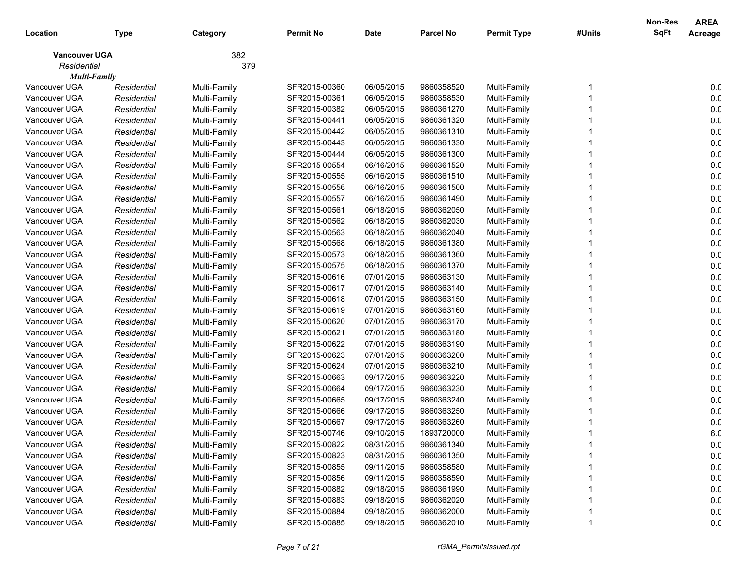|                      |             |              |                  |             |                  |                    |        | <b>Non-Res</b> | <b>AREA</b>     |
|----------------------|-------------|--------------|------------------|-------------|------------------|--------------------|--------|----------------|-----------------|
| Location             | <b>Type</b> | Category     | <b>Permit No</b> | <b>Date</b> | <b>Parcel No</b> | <b>Permit Type</b> | #Units | <b>SqFt</b>    | Acreage         |
| <b>Vancouver UGA</b> |             | 382          |                  |             |                  |                    |        |                |                 |
| Residential          |             | 379          |                  |             |                  |                    |        |                |                 |
| <b>Multi-Family</b>  |             |              |                  |             |                  |                    |        |                |                 |
| Vancouver UGA        | Residential | Multi-Family | SFR2015-00360    | 06/05/2015  | 9860358520       | Multi-Family       |        |                | 0.0             |
| Vancouver UGA        | Residential | Multi-Family | SFR2015-00361    | 06/05/2015  | 9860358530       | Multi-Family       |        |                | 0.0             |
| Vancouver UGA        | Residential | Multi-Family | SFR2015-00382    | 06/05/2015  | 9860361270       | Multi-Family       |        |                | 0.0             |
| Vancouver UGA        | Residential | Multi-Family | SFR2015-00441    | 06/05/2015  | 9860361320       | Multi-Family       |        |                | 0.0             |
| Vancouver UGA        | Residential | Multi-Family | SFR2015-00442    | 06/05/2015  | 9860361310       | Multi-Family       |        |                | 0.0             |
| Vancouver UGA        | Residential | Multi-Family | SFR2015-00443    | 06/05/2015  | 9860361330       | Multi-Family       |        |                | 0. <sub>C</sub> |
| Vancouver UGA        | Residential | Multi-Family | SFR2015-00444    | 06/05/2015  | 9860361300       | Multi-Family       |        |                | 0. <sub>C</sub> |
| Vancouver UGA        | Residential | Multi-Family | SFR2015-00554    | 06/16/2015  | 9860361520       | Multi-Family       |        |                | 0. <sub>C</sub> |
| Vancouver UGA        | Residential | Multi-Family | SFR2015-00555    | 06/16/2015  | 9860361510       | Multi-Family       |        |                | 0.0             |
| Vancouver UGA        | Residential | Multi-Family | SFR2015-00556    | 06/16/2015  | 9860361500       | Multi-Family       |        |                | 0. <sub>C</sub> |
| Vancouver UGA        | Residential | Multi-Family | SFR2015-00557    | 06/16/2015  | 9860361490       | Multi-Family       |        |                | 0. <sub>C</sub> |
| Vancouver UGA        | Residential | Multi-Family | SFR2015-00561    | 06/18/2015  | 9860362050       | Multi-Family       |        |                | 0. <sub>C</sub> |
| Vancouver UGA        | Residential | Multi-Family | SFR2015-00562    | 06/18/2015  | 9860362030       | Multi-Family       |        |                | 0. <sub>C</sub> |
| Vancouver UGA        | Residential | Multi-Family | SFR2015-00563    | 06/18/2015  | 9860362040       | Multi-Family       |        |                | 0. <sub>C</sub> |
| Vancouver UGA        | Residential | Multi-Family | SFR2015-00568    | 06/18/2015  | 9860361380       | Multi-Family       |        |                | 0.0             |
| Vancouver UGA        | Residential | Multi-Family | SFR2015-00573    | 06/18/2015  | 9860361360       | Multi-Family       |        |                | 0.0             |
| Vancouver UGA        | Residential | Multi-Family | SFR2015-00575    | 06/18/2015  | 9860361370       | Multi-Family       |        |                | 0.0             |
| Vancouver UGA        | Residential | Multi-Family | SFR2015-00616    | 07/01/2015  | 9860363130       | Multi-Family       |        |                | 0.0             |
| Vancouver UGA        | Residential | Multi-Family | SFR2015-00617    | 07/01/2015  | 9860363140       | Multi-Family       |        |                | 0. <sub>C</sub> |
| Vancouver UGA        | Residential | Multi-Family | SFR2015-00618    | 07/01/2015  | 9860363150       | Multi-Family       |        |                | 0. <sub>C</sub> |
| Vancouver UGA        | Residential | Multi-Family | SFR2015-00619    | 07/01/2015  | 9860363160       | Multi-Family       |        |                | 0. <sub>C</sub> |
| Vancouver UGA        | Residential | Multi-Family | SFR2015-00620    | 07/01/2015  | 9860363170       | Multi-Family       |        |                | 0. <sub>C</sub> |
| Vancouver UGA        | Residential | Multi-Family | SFR2015-00621    | 07/01/2015  | 9860363180       | Multi-Family       |        |                | 0. <sub>C</sub> |
| Vancouver UGA        | Residential | Multi-Family | SFR2015-00622    | 07/01/2015  | 9860363190       | Multi-Family       |        |                | 0.0             |
| Vancouver UGA        | Residential | Multi-Family | SFR2015-00623    | 07/01/2015  | 9860363200       | Multi-Family       |        |                | 0.0             |
| Vancouver UGA        | Residential | Multi-Family | SFR2015-00624    | 07/01/2015  | 9860363210       | Multi-Family       |        |                | 0.0             |
| Vancouver UGA        | Residential | Multi-Family | SFR2015-00663    | 09/17/2015  | 9860363220       | Multi-Family       |        |                | 0. <sub>C</sub> |
| Vancouver UGA        | Residential | Multi-Family | SFR2015-00664    | 09/17/2015  | 9860363230       | Multi-Family       |        |                | 0. <sub>C</sub> |
| Vancouver UGA        | Residential | Multi-Family | SFR2015-00665    | 09/17/2015  | 9860363240       | Multi-Family       |        |                | 0. <sub>C</sub> |
| Vancouver UGA        | Residential | Multi-Family | SFR2015-00666    | 09/17/2015  | 9860363250       | Multi-Family       |        |                | 0. <sub>C</sub> |
| Vancouver UGA        | Residential | Multi-Family | SFR2015-00667    | 09/17/2015  | 9860363260       | Multi-Family       |        |                | 0.0             |
| Vancouver UGA        | Residential | Multi-Family | SFR2015-00746    | 09/10/2015  | 1893720000       | Multi-Family       |        |                | 6. <sub>C</sub> |
| Vancouver UGA        | Residential | Multi-Family | SFR2015-00822    | 08/31/2015  | 9860361340       | Multi-Family       |        |                | 0.0             |
| Vancouver UGA        | Residential | Multi-Family | SFR2015-00823    | 08/31/2015  | 9860361350       | Multi-Family       |        |                | 0.0             |
| Vancouver UGA        | Residential | Multi-Family | SFR2015-00855    | 09/11/2015  | 9860358580       | Multi-Family       |        |                | 0.0             |
| Vancouver UGA        | Residential | Multi-Family | SFR2015-00856    | 09/11/2015  | 9860358590       | Multi-Family       |        |                | 0.0             |
| Vancouver UGA        | Residential | Multi-Family | SFR2015-00882    | 09/18/2015  | 9860361990       | Multi-Family       |        |                | 0.0             |
| Vancouver UGA        | Residential | Multi-Family | SFR2015-00883    | 09/18/2015  | 9860362020       | Multi-Family       |        |                | 0.0             |
| Vancouver UGA        | Residential | Multi-Family | SFR2015-00884    | 09/18/2015  | 9860362000       | Multi-Family       |        |                | 0.0             |
| Vancouver UGA        | Residential | Multi-Family | SFR2015-00885    | 09/18/2015  | 9860362010       | Multi-Family       |        |                | 0.0             |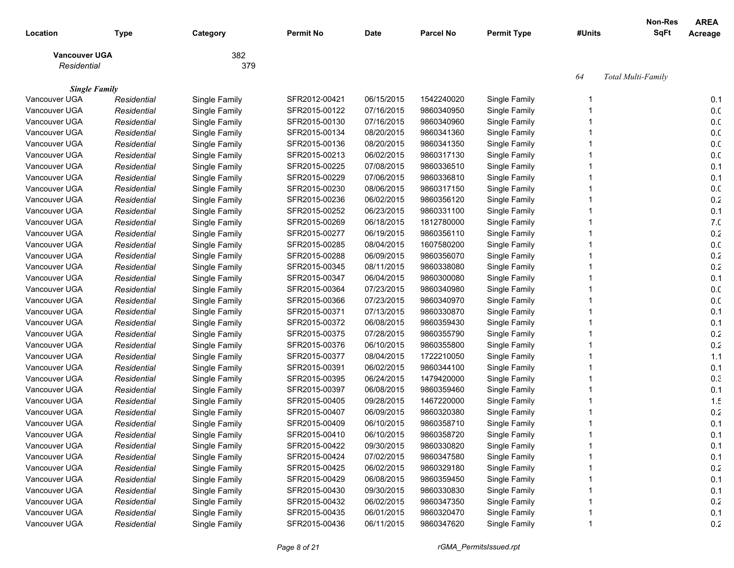| Location                              | <b>Type</b> | Category      | <b>Permit No</b> | <b>Date</b> | <b>Parcel No</b> | <b>Permit Type</b> | #Units | <b>Non-Res</b><br><b>SqFt</b> | <b>AREA</b><br>Acreage |
|---------------------------------------|-------------|---------------|------------------|-------------|------------------|--------------------|--------|-------------------------------|------------------------|
|                                       |             |               |                  |             |                  |                    |        |                               |                        |
| <b>Vancouver UGA</b>                  |             | 382           |                  |             |                  |                    |        |                               |                        |
| Residential                           |             | 379           |                  |             |                  |                    |        |                               |                        |
|                                       |             |               |                  |             |                  |                    | 64     | Total Multi-Family            |                        |
| <b>Single Family</b><br>Vancouver UGA | Residential | Single Family | SFR2012-00421    | 06/15/2015  | 1542240020       | Single Family      |        |                               | 0.1                    |
| Vancouver UGA                         | Residential | Single Family | SFR2015-00122    | 07/16/2015  | 9860340950       | Single Family      |        |                               | 0. <sub>C</sub>        |
| Vancouver UGA                         | Residential | Single Family | SFR2015-00130    | 07/16/2015  | 9860340960       | Single Family      |        |                               | 0.0                    |
| Vancouver UGA                         | Residential | Single Family | SFR2015-00134    | 08/20/2015  | 9860341360       | Single Family      |        |                               | 0.0                    |
| Vancouver UGA                         | Residential | Single Family | SFR2015-00136    | 08/20/2015  | 9860341350       | Single Family      |        |                               | 0.0                    |
| Vancouver UGA                         | Residential | Single Family | SFR2015-00213    | 06/02/2015  | 9860317130       | Single Family      |        |                               | 0.0                    |
| Vancouver UGA                         | Residential | Single Family | SFR2015-00225    | 07/08/2015  | 9860336510       | Single Family      |        |                               | 0.1                    |
| Vancouver UGA                         | Residential | Single Family | SFR2015-00229    | 07/06/2015  | 9860336810       | Single Family      |        |                               | 0.1                    |
| Vancouver UGA                         | Residential | Single Family | SFR2015-00230    | 08/06/2015  | 9860317150       | Single Family      |        |                               | 0.0                    |
| Vancouver UGA                         | Residential | Single Family | SFR2015-00236    | 06/02/2015  | 9860356120       | Single Family      |        |                               | 0.2                    |
| Vancouver UGA                         | Residential | Single Family | SFR2015-00252    | 06/23/2015  | 9860331100       | Single Family      |        |                               | 0.1                    |
| Vancouver UGA                         | Residential | Single Family | SFR2015-00269    | 06/18/2015  | 1812780000       | Single Family      |        |                               | 7 <sub>.C</sub>        |
| Vancouver UGA                         | Residential | Single Family | SFR2015-00277    | 06/19/2015  | 9860356110       | Single Family      |        |                               | 0.2                    |
| Vancouver UGA                         | Residential | Single Family | SFR2015-00285    | 08/04/2015  | 1607580200       | Single Family      |        |                               | 0. <sub>C</sub>        |
| Vancouver UGA                         | Residential | Single Family | SFR2015-00288    | 06/09/2015  | 9860356070       | Single Family      |        |                               | 0.2                    |
| Vancouver UGA                         | Residential | Single Family | SFR2015-00345    | 08/11/2015  | 9860338080       | Single Family      |        |                               | 0.2                    |
| Vancouver UGA                         | Residential | Single Family | SFR2015-00347    | 06/04/2015  | 9860300080       | Single Family      |        |                               | 0.1                    |
| Vancouver UGA                         | Residential | Single Family | SFR2015-00364    | 07/23/2015  | 9860340980       | Single Family      |        |                               | 0.0                    |
| Vancouver UGA                         | Residential | Single Family | SFR2015-00366    | 07/23/2015  | 9860340970       | Single Family      |        |                               | 0.0                    |
| Vancouver UGA                         | Residential | Single Family | SFR2015-00371    | 07/13/2015  | 9860330870       | Single Family      |        |                               | 0.1                    |
| Vancouver UGA                         | Residential | Single Family | SFR2015-00372    | 06/08/2015  | 9860359430       | Single Family      |        |                               | 0.1                    |
| Vancouver UGA                         | Residential | Single Family | SFR2015-00375    | 07/28/2015  | 9860355790       | Single Family      |        |                               | 0.2                    |
| Vancouver UGA                         | Residential | Single Family | SFR2015-00376    | 06/10/2015  | 9860355800       | Single Family      |        |                               | 0.2                    |
| Vancouver UGA                         | Residential | Single Family | SFR2015-00377    | 08/04/2015  | 1722210050       | Single Family      |        |                               | 1.1                    |
| Vancouver UGA                         | Residential | Single Family | SFR2015-00391    | 06/02/2015  | 9860344100       | Single Family      |        |                               | 0.1                    |
| Vancouver UGA                         | Residential | Single Family | SFR2015-00395    | 06/24/2015  | 1479420000       | Single Family      |        |                               | 0.3                    |
| Vancouver UGA                         | Residential | Single Family | SFR2015-00397    | 06/08/2015  | 9860359460       | Single Family      |        |                               | 0.1                    |
| Vancouver UGA                         | Residential | Single Family | SFR2015-00405    | 09/28/2015  | 1467220000       | Single Family      |        |                               | 1.5                    |
| Vancouver UGA                         | Residential | Single Family | SFR2015-00407    | 06/09/2015  | 9860320380       | Single Family      |        |                               | 0.2                    |
| Vancouver UGA                         | Residential | Single Family | SFR2015-00409    | 06/10/2015  | 9860358710       | Single Family      |        |                               | 0.1                    |
| Vancouver UGA                         | Residential | Single Family | SFR2015-00410    | 06/10/2015  | 9860358720       | Single Family      |        |                               | 0.1                    |
| Vancouver UGA                         | Residential | Single Family | SFR2015-00422    | 09/30/2015  | 9860330820       | Single Family      |        |                               | 0.1                    |
| Vancouver UGA                         | Residential | Single Family | SFR2015-00424    | 07/02/2015  | 9860347580       | Single Family      |        |                               | 0.1                    |
| Vancouver UGA                         | Residential | Single Family | SFR2015-00425    | 06/02/2015  | 9860329180       | Single Family      |        |                               | 0.2                    |
| Vancouver UGA                         | Residential | Single Family | SFR2015-00429    | 06/08/2015  | 9860359450       | Single Family      |        |                               | 0.1                    |
| Vancouver UGA                         | Residential | Single Family | SFR2015-00430    | 09/30/2015  | 9860330830       | Single Family      |        |                               | 0.1                    |
| Vancouver UGA                         | Residential | Single Family | SFR2015-00432    | 06/02/2015  | 9860347350       | Single Family      |        |                               | 0.2                    |
| Vancouver UGA                         | Residential | Single Family | SFR2015-00435    | 06/01/2015  | 9860320470       | Single Family      |        |                               | 0.1                    |
| Vancouver UGA                         | Residential | Single Family | SFR2015-00436    | 06/11/2015  | 9860347620       | Single Family      |        |                               | 0.2                    |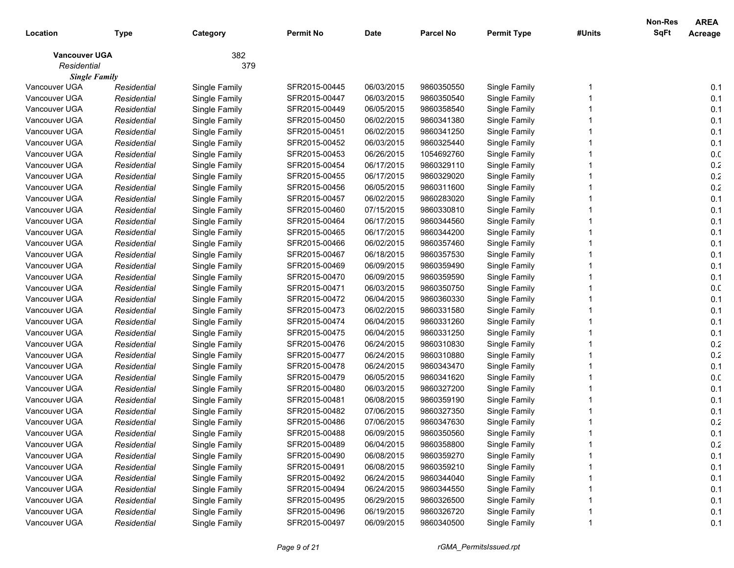|                      |             |               |                  |             |                  |                    |        | Non-Res     | <b>AREA</b>     |
|----------------------|-------------|---------------|------------------|-------------|------------------|--------------------|--------|-------------|-----------------|
| Location             | <b>Type</b> | Category      | <b>Permit No</b> | <b>Date</b> | <b>Parcel No</b> | <b>Permit Type</b> | #Units | <b>SqFt</b> | Acreage         |
| <b>Vancouver UGA</b> |             | 382           |                  |             |                  |                    |        |             |                 |
| Residential          |             | 379           |                  |             |                  |                    |        |             |                 |
| <b>Single Family</b> |             |               |                  |             |                  |                    |        |             |                 |
| Vancouver UGA        | Residential | Single Family | SFR2015-00445    | 06/03/2015  | 9860350550       | Single Family      |        |             | 0.1             |
| Vancouver UGA        | Residential | Single Family | SFR2015-00447    | 06/03/2015  | 9860350540       | Single Family      |        |             | 0.1             |
| Vancouver UGA        | Residential | Single Family | SFR2015-00449    | 06/05/2015  | 9860358540       | Single Family      |        |             | 0.1             |
| Vancouver UGA        | Residential | Single Family | SFR2015-00450    | 06/02/2015  | 9860341380       | Single Family      |        |             | 0.1             |
| Vancouver UGA        | Residential | Single Family | SFR2015-00451    | 06/02/2015  | 9860341250       | Single Family      |        |             | 0.1             |
| Vancouver UGA        | Residential | Single Family | SFR2015-00452    | 06/03/2015  | 9860325440       | Single Family      |        |             | 0.1             |
| Vancouver UGA        | Residential | Single Family | SFR2015-00453    | 06/26/2015  | 1054692760       | Single Family      |        |             | 0. <sub>C</sub> |
| Vancouver UGA        | Residential | Single Family | SFR2015-00454    | 06/17/2015  | 9860329110       | Single Family      |        |             | 0.2             |
| Vancouver UGA        | Residential | Single Family | SFR2015-00455    | 06/17/2015  | 9860329020       | Single Family      |        |             | 0.2             |
| Vancouver UGA        | Residential | Single Family | SFR2015-00456    | 06/05/2015  | 9860311600       | Single Family      |        |             | $0.2\,$         |
| Vancouver UGA        | Residential | Single Family | SFR2015-00457    | 06/02/2015  | 9860283020       | Single Family      |        |             | 0.1             |
| Vancouver UGA        | Residential | Single Family | SFR2015-00460    | 07/15/2015  | 9860330810       | Single Family      |        |             | 0.1             |
| Vancouver UGA        | Residential | Single Family | SFR2015-00464    | 06/17/2015  | 9860344560       | Single Family      |        |             | 0.1             |
| Vancouver UGA        | Residential | Single Family | SFR2015-00465    | 06/17/2015  | 9860344200       | Single Family      |        |             | 0.1             |
| Vancouver UGA        | Residential | Single Family | SFR2015-00466    | 06/02/2015  | 9860357460       | Single Family      |        |             | 0.1             |
| Vancouver UGA        | Residential | Single Family | SFR2015-00467    | 06/18/2015  | 9860357530       | Single Family      |        |             | 0.1             |
| Vancouver UGA        | Residential | Single Family | SFR2015-00469    | 06/09/2015  | 9860359490       | Single Family      |        |             | 0.1             |
| Vancouver UGA        | Residential | Single Family | SFR2015-00470    | 06/09/2015  | 9860359590       | Single Family      |        |             | 0.1             |
| Vancouver UGA        | Residential | Single Family | SFR2015-00471    | 06/03/2015  | 9860350750       | Single Family      |        |             | 0.0             |
| Vancouver UGA        | Residential | Single Family | SFR2015-00472    | 06/04/2015  | 9860360330       | Single Family      |        |             | 0.1             |
| Vancouver UGA        | Residential | Single Family | SFR2015-00473    | 06/02/2015  | 9860331580       | Single Family      |        |             | 0.1             |
| Vancouver UGA        | Residential | Single Family | SFR2015-00474    | 06/04/2015  | 9860331260       | Single Family      |        |             | 0.1             |
| Vancouver UGA        | Residential | Single Family | SFR2015-00475    | 06/04/2015  | 9860331250       | Single Family      |        |             | 0.1             |
| Vancouver UGA        | Residential | Single Family | SFR2015-00476    | 06/24/2015  | 9860310830       | Single Family      |        |             | $0.2\,$         |
| Vancouver UGA        | Residential | Single Family | SFR2015-00477    | 06/24/2015  | 9860310880       | Single Family      |        |             | $0.2\,$         |
| Vancouver UGA        | Residential | Single Family | SFR2015-00478    | 06/24/2015  | 9860343470       | Single Family      |        |             | 0.1             |
| Vancouver UGA        | Residential | Single Family | SFR2015-00479    | 06/05/2015  | 9860341620       | Single Family      |        |             | 0.0             |
| Vancouver UGA        | Residential | Single Family | SFR2015-00480    | 06/03/2015  | 9860327200       | Single Family      |        |             | 0.1             |
| Vancouver UGA        | Residential | Single Family | SFR2015-00481    | 06/08/2015  | 9860359190       | Single Family      |        |             | 0.1             |
| Vancouver UGA        | Residential | Single Family | SFR2015-00482    | 07/06/2015  | 9860327350       | Single Family      |        |             | 0.1             |
| Vancouver UGA        | Residential | Single Family | SFR2015-00486    | 07/06/2015  | 9860347630       | Single Family      |        |             | 0.2             |
| Vancouver UGA        | Residential | Single Family | SFR2015-00488    | 06/09/2015  | 9860350560       | Single Family      |        |             | 0.1             |
| Vancouver UGA        | Residential | Single Family | SFR2015-00489    | 06/04/2015  | 9860358800       | Single Family      |        |             | 0.2             |
| Vancouver UGA        | Residential | Single Family | SFR2015-00490    | 06/08/2015  | 9860359270       | Single Family      |        |             | 0.1             |
| Vancouver UGA        | Residential | Single Family | SFR2015-00491    | 06/08/2015  | 9860359210       | Single Family      |        |             | 0.1             |
| Vancouver UGA        | Residential | Single Family | SFR2015-00492    | 06/24/2015  | 9860344040       | Single Family      |        |             | 0.1             |
| Vancouver UGA        | Residential | Single Family | SFR2015-00494    | 06/24/2015  | 9860344550       | Single Family      |        |             | 0.1             |
| Vancouver UGA        | Residential | Single Family | SFR2015-00495    | 06/29/2015  | 9860326500       | Single Family      |        |             | 0.1             |
| Vancouver UGA        | Residential | Single Family | SFR2015-00496    | 06/19/2015  | 9860326720       | Single Family      |        |             | 0.1             |
| Vancouver UGA        | Residential | Single Family | SFR2015-00497    | 06/09/2015  | 9860340500       | Single Family      |        |             | 0.1             |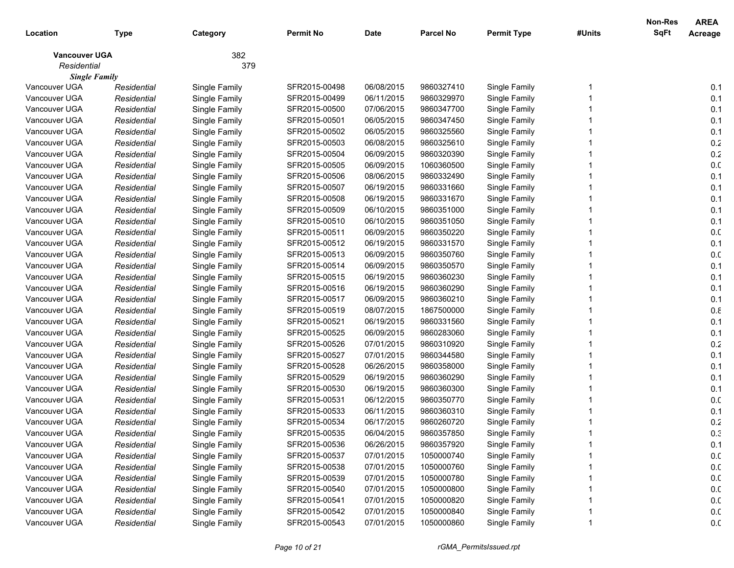| <b>SqFt</b><br>Location<br><b>Permit No</b><br><b>Date</b><br><b>Parcel No</b><br><b>Permit Type</b><br>#Units<br>Acreage<br><b>Type</b><br>Category<br>382<br><b>Vancouver UGA</b><br>Residential<br>379<br><b>Single Family</b><br>Vancouver UGA<br>06/08/2015<br>9860327410<br>0.1<br>Single Family<br>SFR2015-00498<br>Single Family<br>Residential<br>Vancouver UGA<br>06/11/2015<br>0.1<br>Residential<br>Single Family<br>SFR2015-00499<br>9860329970<br>Single Family<br>0.1<br>Vancouver UGA<br>SFR2015-00500<br>07/06/2015<br>9860347700<br>Single Family<br>Residential<br>Single Family<br>0.1<br>Vancouver UGA<br>SFR2015-00501<br>06/05/2015<br>Residential<br>Single Family<br>9860347450<br>Single Family<br>0.1<br>Vancouver UGA<br>SFR2015-00502<br>06/05/2015<br>9860325560<br>Residential<br>Single Family<br>Single Family<br>0.2<br>Vancouver UGA<br>SFR2015-00503<br>06/08/2015<br>9860325610<br>Residential<br>Single Family<br>Single Family<br>0.2<br>Vancouver UGA<br>SFR2015-00504<br>06/09/2015<br>Residential<br>Single Family<br>9860320390<br>Single Family<br>0. <sub>C</sub><br>Vancouver UGA<br>06/09/2015<br>Residential<br>Single Family<br>SFR2015-00505<br>1060360500<br>Single Family<br>0.1<br>Vancouver UGA<br>08/06/2015<br>Residential<br>Single Family<br>SFR2015-00506<br>9860332490<br>Single Family<br>Vancouver UGA<br>0.1<br>SFR2015-00507<br>06/19/2015<br>9860331660<br>Single Family<br>Residential<br>Single Family<br>0.1<br>Vancouver UGA<br>SFR2015-00508<br>06/19/2015<br>9860331670<br>Single Family<br>Residential<br>Single Family<br>0.1<br>Vancouver UGA<br>06/10/2015<br>Residential<br>Single Family<br>SFR2015-00509<br>9860351000<br>Single Family<br>0.1<br>Vancouver UGA<br>06/10/2015<br>Residential<br>Single Family<br>SFR2015-00510<br>9860351050<br>Single Family<br>0.0<br>Vancouver UGA<br>06/09/2015<br>Residential<br>Single Family<br>SFR2015-00511<br>9860350220<br>Single Family<br>0.1<br>Vancouver UGA<br>Residential<br>Single Family<br>SFR2015-00512<br>06/19/2015<br>9860331570<br>Single Family<br>0. <sub>C</sub><br>Vancouver UGA<br>Residential<br>Single Family<br>SFR2015-00513<br>06/09/2015<br>9860350760<br>Single Family<br>0.1<br>Vancouver UGA<br>Residential<br>Single Family<br>SFR2015-00514<br>06/09/2015<br>9860350570<br>Single Family<br>0.1<br>Vancouver UGA<br>SFR2015-00515<br>06/19/2015<br>9860360230<br>Single Family<br>Residential<br>Single Family<br>0.1<br>Vancouver UGA<br>06/19/2015<br>Residential<br>Single Family<br>SFR2015-00516<br>9860360290<br>Single Family<br>0.1<br>Vancouver UGA<br>06/09/2015<br>Residential<br>Single Family<br>SFR2015-00517<br>9860360210<br>Single Family<br>0.8<br>Vancouver UGA<br>08/07/2015<br>Residential<br>Single Family<br>SFR2015-00519<br>1867500000<br>Single Family<br>0.1<br>Vancouver UGA<br>Residential<br>Single Family<br>SFR2015-00521<br>06/19/2015<br>9860331560<br>Single Family<br>0.1<br>Vancouver UGA<br>06/09/2015<br>Residential<br>Single Family<br>SFR2015-00525<br>9860283060<br>Single Family<br>$0.2\,$<br>Vancouver UGA<br>07/01/2015<br>Residential<br>Single Family<br>SFR2015-00526<br>9860310920<br>Single Family<br>07/01/2015<br>0.1<br>Vancouver UGA<br>SFR2015-00527<br>9860344580<br>Single Family<br>Residential<br>Single Family<br>06/26/2015<br>0.1<br>Vancouver UGA<br>SFR2015-00528<br>9860358000<br>Single Family<br>Residential<br>Single Family<br>Vancouver UGA<br>SFR2015-00529<br>06/19/2015<br>0.1<br>Residential<br>Single Family<br>9860360290<br>Single Family<br>SFR2015-00530<br>06/19/2015<br>0.1<br>Vancouver UGA<br>Residential<br>Single Family<br>9860360300<br>Single Family<br>06/12/2015<br>0.0<br>Vancouver UGA<br>Residential<br>Single Family<br>SFR2015-00531<br>9860350770<br>Single Family<br>SFR2015-00533<br>06/11/2015<br>0.1<br>Vancouver UGA<br>Residential<br>Single Family<br>9860360310<br>Single Family<br>0.2<br>Vancouver UGA<br>Single Family<br>SFR2015-00534<br>06/17/2015<br>9860260720<br>Single Family<br>Residential<br>Vancouver UGA<br>Residential<br>Single Family<br>SFR2015-00535<br>06/04/2015<br>9860357850<br>Single Family<br>0.3<br>SFR2015-00536<br>06/26/2015<br>9860357920<br>Vancouver UGA<br>Single Family<br>0.1<br>Residential<br>Single Family<br>0.0<br>Vancouver UGA<br>Single Family<br>SFR2015-00537<br>07/01/2015<br>1050000740<br>Single Family<br>Residential<br>0.0<br>Vancouver UGA<br>07/01/2015<br>1050000760<br>Single Family<br>Residential<br>Single Family<br>SFR2015-00538<br>0.0<br>Vancouver UGA<br>Single Family<br>07/01/2015<br>Single Family<br>Residential<br>SFR2015-00539<br>1050000780<br>0.0<br>Vancouver UGA<br>Single Family<br>07/01/2015<br>1050000800<br>Single Family<br>Residential<br>SFR2015-00540<br>0.0<br>Vancouver UGA<br>Single Family<br>SFR2015-00541<br>07/01/2015<br>1050000820<br>Single Family<br>Residential<br>0.0<br>Vancouver UGA<br>Single Family<br>SFR2015-00542<br>07/01/2015<br>1050000840<br>Single Family<br>Residential |               |             |               |               |            |            |               | Non-Res | <b>AREA</b> |
|---------------------------------------------------------------------------------------------------------------------------------------------------------------------------------------------------------------------------------------------------------------------------------------------------------------------------------------------------------------------------------------------------------------------------------------------------------------------------------------------------------------------------------------------------------------------------------------------------------------------------------------------------------------------------------------------------------------------------------------------------------------------------------------------------------------------------------------------------------------------------------------------------------------------------------------------------------------------------------------------------------------------------------------------------------------------------------------------------------------------------------------------------------------------------------------------------------------------------------------------------------------------------------------------------------------------------------------------------------------------------------------------------------------------------------------------------------------------------------------------------------------------------------------------------------------------------------------------------------------------------------------------------------------------------------------------------------------------------------------------------------------------------------------------------------------------------------------------------------------------------------------------------------------------------------------------------------------------------------------------------------------------------------------------------------------------------------------------------------------------------------------------------------------------------------------------------------------------------------------------------------------------------------------------------------------------------------------------------------------------------------------------------------------------------------------------------------------------------------------------------------------------------------------------------------------------------------------------------------------------------------------------------------------------------------------------------------------------------------------------------------------------------------------------------------------------------------------------------------------------------------------------------------------------------------------------------------------------------------------------------------------------------------------------------------------------------------------------------------------------------------------------------------------------------------------------------------------------------------------------------------------------------------------------------------------------------------------------------------------------------------------------------------------------------------------------------------------------------------------------------------------------------------------------------------------------------------------------------------------------------------------------------------------------------------------------------------------------------------------------------------------------------------------------------------------------------------------------------------------------------------------------------------------------------------------------------------------------------------------------------------------------------------------------------------------------------------------------------------------------------------------------------------------------------------------------------------------------------------------------------------------------------------------------------------------------------------------------------------------------------------------------------------------------------------------------------------------------------------------------------------------------------------------------------------------------------------------------------------------------------------------------------------------------------------------------------------------------------------------------------------------------------------------------------------------------------------------------------------------------------------------------------------------------------------------------------------------------------------------------------------------------------------------------------------|---------------|-------------|---------------|---------------|------------|------------|---------------|---------|-------------|
|                                                                                                                                                                                                                                                                                                                                                                                                                                                                                                                                                                                                                                                                                                                                                                                                                                                                                                                                                                                                                                                                                                                                                                                                                                                                                                                                                                                                                                                                                                                                                                                                                                                                                                                                                                                                                                                                                                                                                                                                                                                                                                                                                                                                                                                                                                                                                                                                                                                                                                                                                                                                                                                                                                                                                                                                                                                                                                                                                                                                                                                                                                                                                                                                                                                                                                                                                                                                                                                                                                                                                                                                                                                                                                                                                                                                                                                                                                                                                                                                                                                                                                                                                                                                                                                                                                                                                                                                                                                                                                                                                                                                                                                                                                                                                                                                                                                                                                                                                                                                                                                         |               |             |               |               |            |            |               |         |             |
|                                                                                                                                                                                                                                                                                                                                                                                                                                                                                                                                                                                                                                                                                                                                                                                                                                                                                                                                                                                                                                                                                                                                                                                                                                                                                                                                                                                                                                                                                                                                                                                                                                                                                                                                                                                                                                                                                                                                                                                                                                                                                                                                                                                                                                                                                                                                                                                                                                                                                                                                                                                                                                                                                                                                                                                                                                                                                                                                                                                                                                                                                                                                                                                                                                                                                                                                                                                                                                                                                                                                                                                                                                                                                                                                                                                                                                                                                                                                                                                                                                                                                                                                                                                                                                                                                                                                                                                                                                                                                                                                                                                                                                                                                                                                                                                                                                                                                                                                                                                                                                                         |               |             |               |               |            |            |               |         |             |
|                                                                                                                                                                                                                                                                                                                                                                                                                                                                                                                                                                                                                                                                                                                                                                                                                                                                                                                                                                                                                                                                                                                                                                                                                                                                                                                                                                                                                                                                                                                                                                                                                                                                                                                                                                                                                                                                                                                                                                                                                                                                                                                                                                                                                                                                                                                                                                                                                                                                                                                                                                                                                                                                                                                                                                                                                                                                                                                                                                                                                                                                                                                                                                                                                                                                                                                                                                                                                                                                                                                                                                                                                                                                                                                                                                                                                                                                                                                                                                                                                                                                                                                                                                                                                                                                                                                                                                                                                                                                                                                                                                                                                                                                                                                                                                                                                                                                                                                                                                                                                                                         |               |             |               |               |            |            |               |         |             |
|                                                                                                                                                                                                                                                                                                                                                                                                                                                                                                                                                                                                                                                                                                                                                                                                                                                                                                                                                                                                                                                                                                                                                                                                                                                                                                                                                                                                                                                                                                                                                                                                                                                                                                                                                                                                                                                                                                                                                                                                                                                                                                                                                                                                                                                                                                                                                                                                                                                                                                                                                                                                                                                                                                                                                                                                                                                                                                                                                                                                                                                                                                                                                                                                                                                                                                                                                                                                                                                                                                                                                                                                                                                                                                                                                                                                                                                                                                                                                                                                                                                                                                                                                                                                                                                                                                                                                                                                                                                                                                                                                                                                                                                                                                                                                                                                                                                                                                                                                                                                                                                         |               |             |               |               |            |            |               |         |             |
|                                                                                                                                                                                                                                                                                                                                                                                                                                                                                                                                                                                                                                                                                                                                                                                                                                                                                                                                                                                                                                                                                                                                                                                                                                                                                                                                                                                                                                                                                                                                                                                                                                                                                                                                                                                                                                                                                                                                                                                                                                                                                                                                                                                                                                                                                                                                                                                                                                                                                                                                                                                                                                                                                                                                                                                                                                                                                                                                                                                                                                                                                                                                                                                                                                                                                                                                                                                                                                                                                                                                                                                                                                                                                                                                                                                                                                                                                                                                                                                                                                                                                                                                                                                                                                                                                                                                                                                                                                                                                                                                                                                                                                                                                                                                                                                                                                                                                                                                                                                                                                                         |               |             |               |               |            |            |               |         |             |
|                                                                                                                                                                                                                                                                                                                                                                                                                                                                                                                                                                                                                                                                                                                                                                                                                                                                                                                                                                                                                                                                                                                                                                                                                                                                                                                                                                                                                                                                                                                                                                                                                                                                                                                                                                                                                                                                                                                                                                                                                                                                                                                                                                                                                                                                                                                                                                                                                                                                                                                                                                                                                                                                                                                                                                                                                                                                                                                                                                                                                                                                                                                                                                                                                                                                                                                                                                                                                                                                                                                                                                                                                                                                                                                                                                                                                                                                                                                                                                                                                                                                                                                                                                                                                                                                                                                                                                                                                                                                                                                                                                                                                                                                                                                                                                                                                                                                                                                                                                                                                                                         |               |             |               |               |            |            |               |         |             |
|                                                                                                                                                                                                                                                                                                                                                                                                                                                                                                                                                                                                                                                                                                                                                                                                                                                                                                                                                                                                                                                                                                                                                                                                                                                                                                                                                                                                                                                                                                                                                                                                                                                                                                                                                                                                                                                                                                                                                                                                                                                                                                                                                                                                                                                                                                                                                                                                                                                                                                                                                                                                                                                                                                                                                                                                                                                                                                                                                                                                                                                                                                                                                                                                                                                                                                                                                                                                                                                                                                                                                                                                                                                                                                                                                                                                                                                                                                                                                                                                                                                                                                                                                                                                                                                                                                                                                                                                                                                                                                                                                                                                                                                                                                                                                                                                                                                                                                                                                                                                                                                         |               |             |               |               |            |            |               |         |             |
|                                                                                                                                                                                                                                                                                                                                                                                                                                                                                                                                                                                                                                                                                                                                                                                                                                                                                                                                                                                                                                                                                                                                                                                                                                                                                                                                                                                                                                                                                                                                                                                                                                                                                                                                                                                                                                                                                                                                                                                                                                                                                                                                                                                                                                                                                                                                                                                                                                                                                                                                                                                                                                                                                                                                                                                                                                                                                                                                                                                                                                                                                                                                                                                                                                                                                                                                                                                                                                                                                                                                                                                                                                                                                                                                                                                                                                                                                                                                                                                                                                                                                                                                                                                                                                                                                                                                                                                                                                                                                                                                                                                                                                                                                                                                                                                                                                                                                                                                                                                                                                                         |               |             |               |               |            |            |               |         |             |
|                                                                                                                                                                                                                                                                                                                                                                                                                                                                                                                                                                                                                                                                                                                                                                                                                                                                                                                                                                                                                                                                                                                                                                                                                                                                                                                                                                                                                                                                                                                                                                                                                                                                                                                                                                                                                                                                                                                                                                                                                                                                                                                                                                                                                                                                                                                                                                                                                                                                                                                                                                                                                                                                                                                                                                                                                                                                                                                                                                                                                                                                                                                                                                                                                                                                                                                                                                                                                                                                                                                                                                                                                                                                                                                                                                                                                                                                                                                                                                                                                                                                                                                                                                                                                                                                                                                                                                                                                                                                                                                                                                                                                                                                                                                                                                                                                                                                                                                                                                                                                                                         |               |             |               |               |            |            |               |         |             |
|                                                                                                                                                                                                                                                                                                                                                                                                                                                                                                                                                                                                                                                                                                                                                                                                                                                                                                                                                                                                                                                                                                                                                                                                                                                                                                                                                                                                                                                                                                                                                                                                                                                                                                                                                                                                                                                                                                                                                                                                                                                                                                                                                                                                                                                                                                                                                                                                                                                                                                                                                                                                                                                                                                                                                                                                                                                                                                                                                                                                                                                                                                                                                                                                                                                                                                                                                                                                                                                                                                                                                                                                                                                                                                                                                                                                                                                                                                                                                                                                                                                                                                                                                                                                                                                                                                                                                                                                                                                                                                                                                                                                                                                                                                                                                                                                                                                                                                                                                                                                                                                         |               |             |               |               |            |            |               |         |             |
|                                                                                                                                                                                                                                                                                                                                                                                                                                                                                                                                                                                                                                                                                                                                                                                                                                                                                                                                                                                                                                                                                                                                                                                                                                                                                                                                                                                                                                                                                                                                                                                                                                                                                                                                                                                                                                                                                                                                                                                                                                                                                                                                                                                                                                                                                                                                                                                                                                                                                                                                                                                                                                                                                                                                                                                                                                                                                                                                                                                                                                                                                                                                                                                                                                                                                                                                                                                                                                                                                                                                                                                                                                                                                                                                                                                                                                                                                                                                                                                                                                                                                                                                                                                                                                                                                                                                                                                                                                                                                                                                                                                                                                                                                                                                                                                                                                                                                                                                                                                                                                                         |               |             |               |               |            |            |               |         |             |
|                                                                                                                                                                                                                                                                                                                                                                                                                                                                                                                                                                                                                                                                                                                                                                                                                                                                                                                                                                                                                                                                                                                                                                                                                                                                                                                                                                                                                                                                                                                                                                                                                                                                                                                                                                                                                                                                                                                                                                                                                                                                                                                                                                                                                                                                                                                                                                                                                                                                                                                                                                                                                                                                                                                                                                                                                                                                                                                                                                                                                                                                                                                                                                                                                                                                                                                                                                                                                                                                                                                                                                                                                                                                                                                                                                                                                                                                                                                                                                                                                                                                                                                                                                                                                                                                                                                                                                                                                                                                                                                                                                                                                                                                                                                                                                                                                                                                                                                                                                                                                                                         |               |             |               |               |            |            |               |         |             |
|                                                                                                                                                                                                                                                                                                                                                                                                                                                                                                                                                                                                                                                                                                                                                                                                                                                                                                                                                                                                                                                                                                                                                                                                                                                                                                                                                                                                                                                                                                                                                                                                                                                                                                                                                                                                                                                                                                                                                                                                                                                                                                                                                                                                                                                                                                                                                                                                                                                                                                                                                                                                                                                                                                                                                                                                                                                                                                                                                                                                                                                                                                                                                                                                                                                                                                                                                                                                                                                                                                                                                                                                                                                                                                                                                                                                                                                                                                                                                                                                                                                                                                                                                                                                                                                                                                                                                                                                                                                                                                                                                                                                                                                                                                                                                                                                                                                                                                                                                                                                                                                         |               |             |               |               |            |            |               |         |             |
|                                                                                                                                                                                                                                                                                                                                                                                                                                                                                                                                                                                                                                                                                                                                                                                                                                                                                                                                                                                                                                                                                                                                                                                                                                                                                                                                                                                                                                                                                                                                                                                                                                                                                                                                                                                                                                                                                                                                                                                                                                                                                                                                                                                                                                                                                                                                                                                                                                                                                                                                                                                                                                                                                                                                                                                                                                                                                                                                                                                                                                                                                                                                                                                                                                                                                                                                                                                                                                                                                                                                                                                                                                                                                                                                                                                                                                                                                                                                                                                                                                                                                                                                                                                                                                                                                                                                                                                                                                                                                                                                                                                                                                                                                                                                                                                                                                                                                                                                                                                                                                                         |               |             |               |               |            |            |               |         |             |
|                                                                                                                                                                                                                                                                                                                                                                                                                                                                                                                                                                                                                                                                                                                                                                                                                                                                                                                                                                                                                                                                                                                                                                                                                                                                                                                                                                                                                                                                                                                                                                                                                                                                                                                                                                                                                                                                                                                                                                                                                                                                                                                                                                                                                                                                                                                                                                                                                                                                                                                                                                                                                                                                                                                                                                                                                                                                                                                                                                                                                                                                                                                                                                                                                                                                                                                                                                                                                                                                                                                                                                                                                                                                                                                                                                                                                                                                                                                                                                                                                                                                                                                                                                                                                                                                                                                                                                                                                                                                                                                                                                                                                                                                                                                                                                                                                                                                                                                                                                                                                                                         |               |             |               |               |            |            |               |         |             |
|                                                                                                                                                                                                                                                                                                                                                                                                                                                                                                                                                                                                                                                                                                                                                                                                                                                                                                                                                                                                                                                                                                                                                                                                                                                                                                                                                                                                                                                                                                                                                                                                                                                                                                                                                                                                                                                                                                                                                                                                                                                                                                                                                                                                                                                                                                                                                                                                                                                                                                                                                                                                                                                                                                                                                                                                                                                                                                                                                                                                                                                                                                                                                                                                                                                                                                                                                                                                                                                                                                                                                                                                                                                                                                                                                                                                                                                                                                                                                                                                                                                                                                                                                                                                                                                                                                                                                                                                                                                                                                                                                                                                                                                                                                                                                                                                                                                                                                                                                                                                                                                         |               |             |               |               |            |            |               |         |             |
|                                                                                                                                                                                                                                                                                                                                                                                                                                                                                                                                                                                                                                                                                                                                                                                                                                                                                                                                                                                                                                                                                                                                                                                                                                                                                                                                                                                                                                                                                                                                                                                                                                                                                                                                                                                                                                                                                                                                                                                                                                                                                                                                                                                                                                                                                                                                                                                                                                                                                                                                                                                                                                                                                                                                                                                                                                                                                                                                                                                                                                                                                                                                                                                                                                                                                                                                                                                                                                                                                                                                                                                                                                                                                                                                                                                                                                                                                                                                                                                                                                                                                                                                                                                                                                                                                                                                                                                                                                                                                                                                                                                                                                                                                                                                                                                                                                                                                                                                                                                                                                                         |               |             |               |               |            |            |               |         |             |
|                                                                                                                                                                                                                                                                                                                                                                                                                                                                                                                                                                                                                                                                                                                                                                                                                                                                                                                                                                                                                                                                                                                                                                                                                                                                                                                                                                                                                                                                                                                                                                                                                                                                                                                                                                                                                                                                                                                                                                                                                                                                                                                                                                                                                                                                                                                                                                                                                                                                                                                                                                                                                                                                                                                                                                                                                                                                                                                                                                                                                                                                                                                                                                                                                                                                                                                                                                                                                                                                                                                                                                                                                                                                                                                                                                                                                                                                                                                                                                                                                                                                                                                                                                                                                                                                                                                                                                                                                                                                                                                                                                                                                                                                                                                                                                                                                                                                                                                                                                                                                                                         |               |             |               |               |            |            |               |         |             |
|                                                                                                                                                                                                                                                                                                                                                                                                                                                                                                                                                                                                                                                                                                                                                                                                                                                                                                                                                                                                                                                                                                                                                                                                                                                                                                                                                                                                                                                                                                                                                                                                                                                                                                                                                                                                                                                                                                                                                                                                                                                                                                                                                                                                                                                                                                                                                                                                                                                                                                                                                                                                                                                                                                                                                                                                                                                                                                                                                                                                                                                                                                                                                                                                                                                                                                                                                                                                                                                                                                                                                                                                                                                                                                                                                                                                                                                                                                                                                                                                                                                                                                                                                                                                                                                                                                                                                                                                                                                                                                                                                                                                                                                                                                                                                                                                                                                                                                                                                                                                                                                         |               |             |               |               |            |            |               |         |             |
|                                                                                                                                                                                                                                                                                                                                                                                                                                                                                                                                                                                                                                                                                                                                                                                                                                                                                                                                                                                                                                                                                                                                                                                                                                                                                                                                                                                                                                                                                                                                                                                                                                                                                                                                                                                                                                                                                                                                                                                                                                                                                                                                                                                                                                                                                                                                                                                                                                                                                                                                                                                                                                                                                                                                                                                                                                                                                                                                                                                                                                                                                                                                                                                                                                                                                                                                                                                                                                                                                                                                                                                                                                                                                                                                                                                                                                                                                                                                                                                                                                                                                                                                                                                                                                                                                                                                                                                                                                                                                                                                                                                                                                                                                                                                                                                                                                                                                                                                                                                                                                                         |               |             |               |               |            |            |               |         |             |
|                                                                                                                                                                                                                                                                                                                                                                                                                                                                                                                                                                                                                                                                                                                                                                                                                                                                                                                                                                                                                                                                                                                                                                                                                                                                                                                                                                                                                                                                                                                                                                                                                                                                                                                                                                                                                                                                                                                                                                                                                                                                                                                                                                                                                                                                                                                                                                                                                                                                                                                                                                                                                                                                                                                                                                                                                                                                                                                                                                                                                                                                                                                                                                                                                                                                                                                                                                                                                                                                                                                                                                                                                                                                                                                                                                                                                                                                                                                                                                                                                                                                                                                                                                                                                                                                                                                                                                                                                                                                                                                                                                                                                                                                                                                                                                                                                                                                                                                                                                                                                                                         |               |             |               |               |            |            |               |         |             |
|                                                                                                                                                                                                                                                                                                                                                                                                                                                                                                                                                                                                                                                                                                                                                                                                                                                                                                                                                                                                                                                                                                                                                                                                                                                                                                                                                                                                                                                                                                                                                                                                                                                                                                                                                                                                                                                                                                                                                                                                                                                                                                                                                                                                                                                                                                                                                                                                                                                                                                                                                                                                                                                                                                                                                                                                                                                                                                                                                                                                                                                                                                                                                                                                                                                                                                                                                                                                                                                                                                                                                                                                                                                                                                                                                                                                                                                                                                                                                                                                                                                                                                                                                                                                                                                                                                                                                                                                                                                                                                                                                                                                                                                                                                                                                                                                                                                                                                                                                                                                                                                         |               |             |               |               |            |            |               |         |             |
|                                                                                                                                                                                                                                                                                                                                                                                                                                                                                                                                                                                                                                                                                                                                                                                                                                                                                                                                                                                                                                                                                                                                                                                                                                                                                                                                                                                                                                                                                                                                                                                                                                                                                                                                                                                                                                                                                                                                                                                                                                                                                                                                                                                                                                                                                                                                                                                                                                                                                                                                                                                                                                                                                                                                                                                                                                                                                                                                                                                                                                                                                                                                                                                                                                                                                                                                                                                                                                                                                                                                                                                                                                                                                                                                                                                                                                                                                                                                                                                                                                                                                                                                                                                                                                                                                                                                                                                                                                                                                                                                                                                                                                                                                                                                                                                                                                                                                                                                                                                                                                                         |               |             |               |               |            |            |               |         |             |
|                                                                                                                                                                                                                                                                                                                                                                                                                                                                                                                                                                                                                                                                                                                                                                                                                                                                                                                                                                                                                                                                                                                                                                                                                                                                                                                                                                                                                                                                                                                                                                                                                                                                                                                                                                                                                                                                                                                                                                                                                                                                                                                                                                                                                                                                                                                                                                                                                                                                                                                                                                                                                                                                                                                                                                                                                                                                                                                                                                                                                                                                                                                                                                                                                                                                                                                                                                                                                                                                                                                                                                                                                                                                                                                                                                                                                                                                                                                                                                                                                                                                                                                                                                                                                                                                                                                                                                                                                                                                                                                                                                                                                                                                                                                                                                                                                                                                                                                                                                                                                                                         |               |             |               |               |            |            |               |         |             |
|                                                                                                                                                                                                                                                                                                                                                                                                                                                                                                                                                                                                                                                                                                                                                                                                                                                                                                                                                                                                                                                                                                                                                                                                                                                                                                                                                                                                                                                                                                                                                                                                                                                                                                                                                                                                                                                                                                                                                                                                                                                                                                                                                                                                                                                                                                                                                                                                                                                                                                                                                                                                                                                                                                                                                                                                                                                                                                                                                                                                                                                                                                                                                                                                                                                                                                                                                                                                                                                                                                                                                                                                                                                                                                                                                                                                                                                                                                                                                                                                                                                                                                                                                                                                                                                                                                                                                                                                                                                                                                                                                                                                                                                                                                                                                                                                                                                                                                                                                                                                                                                         |               |             |               |               |            |            |               |         |             |
|                                                                                                                                                                                                                                                                                                                                                                                                                                                                                                                                                                                                                                                                                                                                                                                                                                                                                                                                                                                                                                                                                                                                                                                                                                                                                                                                                                                                                                                                                                                                                                                                                                                                                                                                                                                                                                                                                                                                                                                                                                                                                                                                                                                                                                                                                                                                                                                                                                                                                                                                                                                                                                                                                                                                                                                                                                                                                                                                                                                                                                                                                                                                                                                                                                                                                                                                                                                                                                                                                                                                                                                                                                                                                                                                                                                                                                                                                                                                                                                                                                                                                                                                                                                                                                                                                                                                                                                                                                                                                                                                                                                                                                                                                                                                                                                                                                                                                                                                                                                                                                                         |               |             |               |               |            |            |               |         |             |
|                                                                                                                                                                                                                                                                                                                                                                                                                                                                                                                                                                                                                                                                                                                                                                                                                                                                                                                                                                                                                                                                                                                                                                                                                                                                                                                                                                                                                                                                                                                                                                                                                                                                                                                                                                                                                                                                                                                                                                                                                                                                                                                                                                                                                                                                                                                                                                                                                                                                                                                                                                                                                                                                                                                                                                                                                                                                                                                                                                                                                                                                                                                                                                                                                                                                                                                                                                                                                                                                                                                                                                                                                                                                                                                                                                                                                                                                                                                                                                                                                                                                                                                                                                                                                                                                                                                                                                                                                                                                                                                                                                                                                                                                                                                                                                                                                                                                                                                                                                                                                                                         |               |             |               |               |            |            |               |         |             |
|                                                                                                                                                                                                                                                                                                                                                                                                                                                                                                                                                                                                                                                                                                                                                                                                                                                                                                                                                                                                                                                                                                                                                                                                                                                                                                                                                                                                                                                                                                                                                                                                                                                                                                                                                                                                                                                                                                                                                                                                                                                                                                                                                                                                                                                                                                                                                                                                                                                                                                                                                                                                                                                                                                                                                                                                                                                                                                                                                                                                                                                                                                                                                                                                                                                                                                                                                                                                                                                                                                                                                                                                                                                                                                                                                                                                                                                                                                                                                                                                                                                                                                                                                                                                                                                                                                                                                                                                                                                                                                                                                                                                                                                                                                                                                                                                                                                                                                                                                                                                                                                         |               |             |               |               |            |            |               |         |             |
|                                                                                                                                                                                                                                                                                                                                                                                                                                                                                                                                                                                                                                                                                                                                                                                                                                                                                                                                                                                                                                                                                                                                                                                                                                                                                                                                                                                                                                                                                                                                                                                                                                                                                                                                                                                                                                                                                                                                                                                                                                                                                                                                                                                                                                                                                                                                                                                                                                                                                                                                                                                                                                                                                                                                                                                                                                                                                                                                                                                                                                                                                                                                                                                                                                                                                                                                                                                                                                                                                                                                                                                                                                                                                                                                                                                                                                                                                                                                                                                                                                                                                                                                                                                                                                                                                                                                                                                                                                                                                                                                                                                                                                                                                                                                                                                                                                                                                                                                                                                                                                                         |               |             |               |               |            |            |               |         |             |
|                                                                                                                                                                                                                                                                                                                                                                                                                                                                                                                                                                                                                                                                                                                                                                                                                                                                                                                                                                                                                                                                                                                                                                                                                                                                                                                                                                                                                                                                                                                                                                                                                                                                                                                                                                                                                                                                                                                                                                                                                                                                                                                                                                                                                                                                                                                                                                                                                                                                                                                                                                                                                                                                                                                                                                                                                                                                                                                                                                                                                                                                                                                                                                                                                                                                                                                                                                                                                                                                                                                                                                                                                                                                                                                                                                                                                                                                                                                                                                                                                                                                                                                                                                                                                                                                                                                                                                                                                                                                                                                                                                                                                                                                                                                                                                                                                                                                                                                                                                                                                                                         |               |             |               |               |            |            |               |         |             |
|                                                                                                                                                                                                                                                                                                                                                                                                                                                                                                                                                                                                                                                                                                                                                                                                                                                                                                                                                                                                                                                                                                                                                                                                                                                                                                                                                                                                                                                                                                                                                                                                                                                                                                                                                                                                                                                                                                                                                                                                                                                                                                                                                                                                                                                                                                                                                                                                                                                                                                                                                                                                                                                                                                                                                                                                                                                                                                                                                                                                                                                                                                                                                                                                                                                                                                                                                                                                                                                                                                                                                                                                                                                                                                                                                                                                                                                                                                                                                                                                                                                                                                                                                                                                                                                                                                                                                                                                                                                                                                                                                                                                                                                                                                                                                                                                                                                                                                                                                                                                                                                         |               |             |               |               |            |            |               |         |             |
|                                                                                                                                                                                                                                                                                                                                                                                                                                                                                                                                                                                                                                                                                                                                                                                                                                                                                                                                                                                                                                                                                                                                                                                                                                                                                                                                                                                                                                                                                                                                                                                                                                                                                                                                                                                                                                                                                                                                                                                                                                                                                                                                                                                                                                                                                                                                                                                                                                                                                                                                                                                                                                                                                                                                                                                                                                                                                                                                                                                                                                                                                                                                                                                                                                                                                                                                                                                                                                                                                                                                                                                                                                                                                                                                                                                                                                                                                                                                                                                                                                                                                                                                                                                                                                                                                                                                                                                                                                                                                                                                                                                                                                                                                                                                                                                                                                                                                                                                                                                                                                                         |               |             |               |               |            |            |               |         |             |
|                                                                                                                                                                                                                                                                                                                                                                                                                                                                                                                                                                                                                                                                                                                                                                                                                                                                                                                                                                                                                                                                                                                                                                                                                                                                                                                                                                                                                                                                                                                                                                                                                                                                                                                                                                                                                                                                                                                                                                                                                                                                                                                                                                                                                                                                                                                                                                                                                                                                                                                                                                                                                                                                                                                                                                                                                                                                                                                                                                                                                                                                                                                                                                                                                                                                                                                                                                                                                                                                                                                                                                                                                                                                                                                                                                                                                                                                                                                                                                                                                                                                                                                                                                                                                                                                                                                                                                                                                                                                                                                                                                                                                                                                                                                                                                                                                                                                                                                                                                                                                                                         |               |             |               |               |            |            |               |         |             |
|                                                                                                                                                                                                                                                                                                                                                                                                                                                                                                                                                                                                                                                                                                                                                                                                                                                                                                                                                                                                                                                                                                                                                                                                                                                                                                                                                                                                                                                                                                                                                                                                                                                                                                                                                                                                                                                                                                                                                                                                                                                                                                                                                                                                                                                                                                                                                                                                                                                                                                                                                                                                                                                                                                                                                                                                                                                                                                                                                                                                                                                                                                                                                                                                                                                                                                                                                                                                                                                                                                                                                                                                                                                                                                                                                                                                                                                                                                                                                                                                                                                                                                                                                                                                                                                                                                                                                                                                                                                                                                                                                                                                                                                                                                                                                                                                                                                                                                                                                                                                                                                         |               |             |               |               |            |            |               |         |             |
|                                                                                                                                                                                                                                                                                                                                                                                                                                                                                                                                                                                                                                                                                                                                                                                                                                                                                                                                                                                                                                                                                                                                                                                                                                                                                                                                                                                                                                                                                                                                                                                                                                                                                                                                                                                                                                                                                                                                                                                                                                                                                                                                                                                                                                                                                                                                                                                                                                                                                                                                                                                                                                                                                                                                                                                                                                                                                                                                                                                                                                                                                                                                                                                                                                                                                                                                                                                                                                                                                                                                                                                                                                                                                                                                                                                                                                                                                                                                                                                                                                                                                                                                                                                                                                                                                                                                                                                                                                                                                                                                                                                                                                                                                                                                                                                                                                                                                                                                                                                                                                                         |               |             |               |               |            |            |               |         |             |
|                                                                                                                                                                                                                                                                                                                                                                                                                                                                                                                                                                                                                                                                                                                                                                                                                                                                                                                                                                                                                                                                                                                                                                                                                                                                                                                                                                                                                                                                                                                                                                                                                                                                                                                                                                                                                                                                                                                                                                                                                                                                                                                                                                                                                                                                                                                                                                                                                                                                                                                                                                                                                                                                                                                                                                                                                                                                                                                                                                                                                                                                                                                                                                                                                                                                                                                                                                                                                                                                                                                                                                                                                                                                                                                                                                                                                                                                                                                                                                                                                                                                                                                                                                                                                                                                                                                                                                                                                                                                                                                                                                                                                                                                                                                                                                                                                                                                                                                                                                                                                                                         |               |             |               |               |            |            |               |         |             |
|                                                                                                                                                                                                                                                                                                                                                                                                                                                                                                                                                                                                                                                                                                                                                                                                                                                                                                                                                                                                                                                                                                                                                                                                                                                                                                                                                                                                                                                                                                                                                                                                                                                                                                                                                                                                                                                                                                                                                                                                                                                                                                                                                                                                                                                                                                                                                                                                                                                                                                                                                                                                                                                                                                                                                                                                                                                                                                                                                                                                                                                                                                                                                                                                                                                                                                                                                                                                                                                                                                                                                                                                                                                                                                                                                                                                                                                                                                                                                                                                                                                                                                                                                                                                                                                                                                                                                                                                                                                                                                                                                                                                                                                                                                                                                                                                                                                                                                                                                                                                                                                         |               |             |               |               |            |            |               |         |             |
|                                                                                                                                                                                                                                                                                                                                                                                                                                                                                                                                                                                                                                                                                                                                                                                                                                                                                                                                                                                                                                                                                                                                                                                                                                                                                                                                                                                                                                                                                                                                                                                                                                                                                                                                                                                                                                                                                                                                                                                                                                                                                                                                                                                                                                                                                                                                                                                                                                                                                                                                                                                                                                                                                                                                                                                                                                                                                                                                                                                                                                                                                                                                                                                                                                                                                                                                                                                                                                                                                                                                                                                                                                                                                                                                                                                                                                                                                                                                                                                                                                                                                                                                                                                                                                                                                                                                                                                                                                                                                                                                                                                                                                                                                                                                                                                                                                                                                                                                                                                                                                                         |               |             |               |               |            |            |               |         |             |
|                                                                                                                                                                                                                                                                                                                                                                                                                                                                                                                                                                                                                                                                                                                                                                                                                                                                                                                                                                                                                                                                                                                                                                                                                                                                                                                                                                                                                                                                                                                                                                                                                                                                                                                                                                                                                                                                                                                                                                                                                                                                                                                                                                                                                                                                                                                                                                                                                                                                                                                                                                                                                                                                                                                                                                                                                                                                                                                                                                                                                                                                                                                                                                                                                                                                                                                                                                                                                                                                                                                                                                                                                                                                                                                                                                                                                                                                                                                                                                                                                                                                                                                                                                                                                                                                                                                                                                                                                                                                                                                                                                                                                                                                                                                                                                                                                                                                                                                                                                                                                                                         |               |             |               |               |            |            |               |         |             |
|                                                                                                                                                                                                                                                                                                                                                                                                                                                                                                                                                                                                                                                                                                                                                                                                                                                                                                                                                                                                                                                                                                                                                                                                                                                                                                                                                                                                                                                                                                                                                                                                                                                                                                                                                                                                                                                                                                                                                                                                                                                                                                                                                                                                                                                                                                                                                                                                                                                                                                                                                                                                                                                                                                                                                                                                                                                                                                                                                                                                                                                                                                                                                                                                                                                                                                                                                                                                                                                                                                                                                                                                                                                                                                                                                                                                                                                                                                                                                                                                                                                                                                                                                                                                                                                                                                                                                                                                                                                                                                                                                                                                                                                                                                                                                                                                                                                                                                                                                                                                                                                         |               |             |               |               |            |            |               |         |             |
|                                                                                                                                                                                                                                                                                                                                                                                                                                                                                                                                                                                                                                                                                                                                                                                                                                                                                                                                                                                                                                                                                                                                                                                                                                                                                                                                                                                                                                                                                                                                                                                                                                                                                                                                                                                                                                                                                                                                                                                                                                                                                                                                                                                                                                                                                                                                                                                                                                                                                                                                                                                                                                                                                                                                                                                                                                                                                                                                                                                                                                                                                                                                                                                                                                                                                                                                                                                                                                                                                                                                                                                                                                                                                                                                                                                                                                                                                                                                                                                                                                                                                                                                                                                                                                                                                                                                                                                                                                                                                                                                                                                                                                                                                                                                                                                                                                                                                                                                                                                                                                                         |               |             |               |               |            |            |               |         |             |
|                                                                                                                                                                                                                                                                                                                                                                                                                                                                                                                                                                                                                                                                                                                                                                                                                                                                                                                                                                                                                                                                                                                                                                                                                                                                                                                                                                                                                                                                                                                                                                                                                                                                                                                                                                                                                                                                                                                                                                                                                                                                                                                                                                                                                                                                                                                                                                                                                                                                                                                                                                                                                                                                                                                                                                                                                                                                                                                                                                                                                                                                                                                                                                                                                                                                                                                                                                                                                                                                                                                                                                                                                                                                                                                                                                                                                                                                                                                                                                                                                                                                                                                                                                                                                                                                                                                                                                                                                                                                                                                                                                                                                                                                                                                                                                                                                                                                                                                                                                                                                                                         |               |             |               |               |            |            |               |         |             |
|                                                                                                                                                                                                                                                                                                                                                                                                                                                                                                                                                                                                                                                                                                                                                                                                                                                                                                                                                                                                                                                                                                                                                                                                                                                                                                                                                                                                                                                                                                                                                                                                                                                                                                                                                                                                                                                                                                                                                                                                                                                                                                                                                                                                                                                                                                                                                                                                                                                                                                                                                                                                                                                                                                                                                                                                                                                                                                                                                                                                                                                                                                                                                                                                                                                                                                                                                                                                                                                                                                                                                                                                                                                                                                                                                                                                                                                                                                                                                                                                                                                                                                                                                                                                                                                                                                                                                                                                                                                                                                                                                                                                                                                                                                                                                                                                                                                                                                                                                                                                                                                         | Vancouver UGA | Residential | Single Family | SFR2015-00543 | 07/01/2015 | 1050000860 | Single Family |         | 0.0         |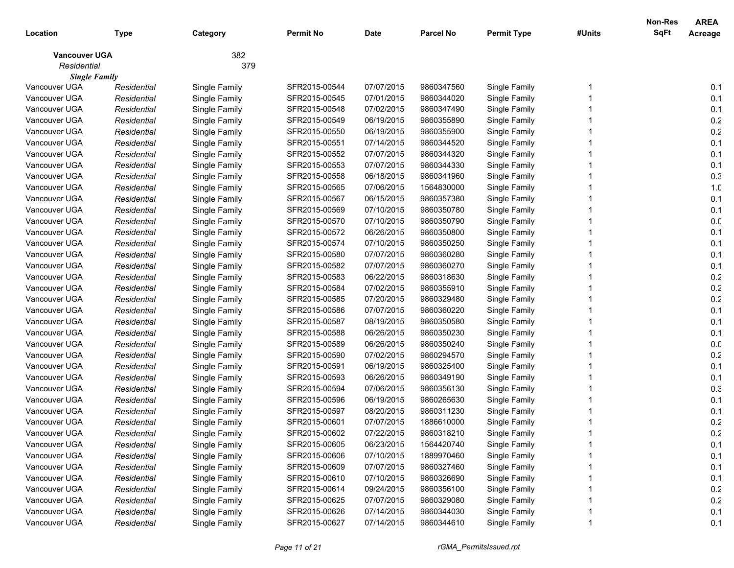|                      |             |               |                  |             |                  |                    |        | Non-Res     | <b>AREA</b>     |
|----------------------|-------------|---------------|------------------|-------------|------------------|--------------------|--------|-------------|-----------------|
| Location             | <b>Type</b> | Category      | <b>Permit No</b> | <b>Date</b> | <b>Parcel No</b> | <b>Permit Type</b> | #Units | <b>SqFt</b> | Acreage         |
| <b>Vancouver UGA</b> |             | 382           |                  |             |                  |                    |        |             |                 |
| Residential          |             | 379           |                  |             |                  |                    |        |             |                 |
| <b>Single Family</b> |             |               |                  |             |                  |                    |        |             |                 |
| Vancouver UGA        | Residential | Single Family | SFR2015-00544    | 07/07/2015  | 9860347560       | Single Family      |        |             | 0.1             |
| Vancouver UGA        | Residential | Single Family | SFR2015-00545    | 07/01/2015  | 9860344020       | Single Family      |        |             | 0.1             |
| Vancouver UGA        | Residential | Single Family | SFR2015-00548    | 07/02/2015  | 9860347490       | Single Family      |        |             | 0.1             |
| Vancouver UGA        | Residential | Single Family | SFR2015-00549    | 06/19/2015  | 9860355890       | Single Family      |        |             | 0.2             |
| Vancouver UGA        | Residential | Single Family | SFR2015-00550    | 06/19/2015  | 9860355900       | Single Family      |        |             | 0.2             |
| Vancouver UGA        | Residential | Single Family | SFR2015-00551    | 07/14/2015  | 9860344520       | Single Family      |        |             | 0.1             |
| Vancouver UGA        | Residential | Single Family | SFR2015-00552    | 07/07/2015  | 9860344320       | Single Family      |        |             | 0.1             |
| Vancouver UGA        | Residential | Single Family | SFR2015-00553    | 07/07/2015  | 9860344330       | Single Family      |        |             | 0.1             |
| Vancouver UGA        | Residential | Single Family | SFR2015-00558    | 06/18/2015  | 9860341960       | Single Family      |        |             | 0.3             |
| Vancouver UGA        | Residential | Single Family | SFR2015-00565    | 07/06/2015  | 1564830000       | Single Family      |        |             | 1. <sub>C</sub> |
| Vancouver UGA        | Residential | Single Family | SFR2015-00567    | 06/15/2015  | 9860357380       | Single Family      |        |             | 0.1             |
| Vancouver UGA        | Residential | Single Family | SFR2015-00569    | 07/10/2015  | 9860350780       | Single Family      |        |             | 0.1             |
| Vancouver UGA        | Residential | Single Family | SFR2015-00570    | 07/10/2015  | 9860350790       | Single Family      |        |             | 0.0             |
| Vancouver UGA        | Residential | Single Family | SFR2015-00572    | 06/26/2015  | 9860350800       | Single Family      |        |             | 0.1             |
| Vancouver UGA        | Residential | Single Family | SFR2015-00574    | 07/10/2015  | 9860350250       | Single Family      |        |             | 0.1             |
| Vancouver UGA        | Residential | Single Family | SFR2015-00580    | 07/07/2015  | 9860360280       | Single Family      |        |             | 0.1             |
| Vancouver UGA        | Residential | Single Family | SFR2015-00582    | 07/07/2015  | 9860360270       | Single Family      |        |             | 0.1             |
| Vancouver UGA        | Residential | Single Family | SFR2015-00583    | 06/22/2015  | 9860318630       | Single Family      |        |             | $0.2\,$         |
| Vancouver UGA        | Residential | Single Family | SFR2015-00584    | 07/02/2015  | 9860355910       | Single Family      |        |             | 0.2             |
| Vancouver UGA        | Residential | Single Family | SFR2015-00585    | 07/20/2015  | 9860329480       | Single Family      |        |             | 0.2             |
| Vancouver UGA        | Residential | Single Family | SFR2015-00586    | 07/07/2015  | 9860360220       | Single Family      |        |             | 0.1             |
| Vancouver UGA        | Residential | Single Family | SFR2015-00587    | 08/19/2015  | 9860350580       | Single Family      |        |             | 0.1             |
| Vancouver UGA        | Residential | Single Family | SFR2015-00588    | 06/26/2015  | 9860350230       | Single Family      |        |             | 0.1             |
| Vancouver UGA        | Residential | Single Family | SFR2015-00589    | 06/26/2015  | 9860350240       | Single Family      |        |             | 0.0             |
| Vancouver UGA        | Residential | Single Family | SFR2015-00590    | 07/02/2015  | 9860294570       | Single Family      |        |             | $0.2\,$         |
| Vancouver UGA        | Residential | Single Family | SFR2015-00591    | 06/19/2015  | 9860325400       | Single Family      |        |             | 0.1             |
| Vancouver UGA        | Residential | Single Family | SFR2015-00593    | 06/26/2015  | 9860349190       | Single Family      |        |             | 0.1             |
| Vancouver UGA        | Residential | Single Family | SFR2015-00594    | 07/06/2015  | 9860356130       | Single Family      |        |             | 0.3             |
| Vancouver UGA        | Residential | Single Family | SFR2015-00596    | 06/19/2015  | 9860265630       | Single Family      |        |             | 0.1             |
| Vancouver UGA        | Residential | Single Family | SFR2015-00597    | 08/20/2015  | 9860311230       | Single Family      |        |             | 0.1             |
| Vancouver UGA        | Residential | Single Family | SFR2015-00601    | 07/07/2015  | 1886610000       | Single Family      |        |             | 0.2             |
| Vancouver UGA        | Residential | Single Family | SFR2015-00602    | 07/22/2015  | 9860318210       | Single Family      |        |             | 0.2             |
| Vancouver UGA        | Residential | Single Family | SFR2015-00605    | 06/23/2015  | 1564420740       | Single Family      |        |             | 0.1             |
| Vancouver UGA        | Residential | Single Family | SFR2015-00606    | 07/10/2015  | 1889970460       | Single Family      |        |             | 0.1             |
| Vancouver UGA        | Residential | Single Family | SFR2015-00609    | 07/07/2015  | 9860327460       | Single Family      |        |             | 0.1             |
| Vancouver UGA        | Residential | Single Family | SFR2015-00610    | 07/10/2015  | 9860326690       | Single Family      |        |             | 0.1             |
| Vancouver UGA        | Residential | Single Family | SFR2015-00614    | 09/24/2015  | 9860356100       | Single Family      |        |             | 0.2             |
| Vancouver UGA        | Residential | Single Family | SFR2015-00625    | 07/07/2015  | 9860329080       | Single Family      |        |             | 0.2             |
| Vancouver UGA        | Residential | Single Family | SFR2015-00626    | 07/14/2015  | 9860344030       | Single Family      |        |             | 0.1             |
| Vancouver UGA        | Residential | Single Family | SFR2015-00627    | 07/14/2015  | 9860344610       | Single Family      |        |             | 0.1             |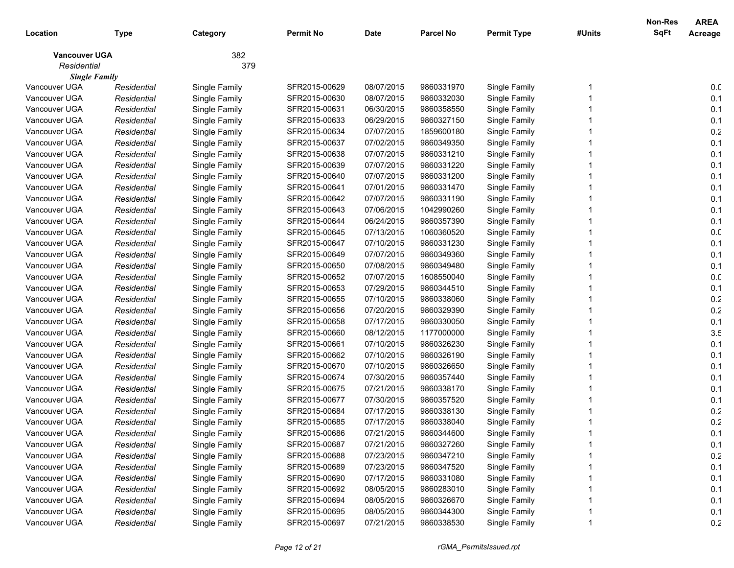|                      |             |               |                  |             |                  |                    |        | Non-Res     | <b>AREA</b>     |
|----------------------|-------------|---------------|------------------|-------------|------------------|--------------------|--------|-------------|-----------------|
| Location             | <b>Type</b> | Category      | <b>Permit No</b> | <b>Date</b> | <b>Parcel No</b> | <b>Permit Type</b> | #Units | <b>SqFt</b> | Acreage         |
| <b>Vancouver UGA</b> |             | 382           |                  |             |                  |                    |        |             |                 |
| Residential          |             | 379           |                  |             |                  |                    |        |             |                 |
| <b>Single Family</b> |             |               |                  |             |                  |                    |        |             |                 |
| Vancouver UGA        | Residential | Single Family | SFR2015-00629    | 08/07/2015  | 9860331970       | Single Family      |        |             | 0. <sub>C</sub> |
| Vancouver UGA        | Residential | Single Family | SFR2015-00630    | 08/07/2015  | 9860332030       | Single Family      |        |             | 0.1             |
| Vancouver UGA        | Residential | Single Family | SFR2015-00631    | 06/30/2015  | 9860358550       | Single Family      |        |             | 0.1             |
| Vancouver UGA        | Residential | Single Family | SFR2015-00633    | 06/29/2015  | 9860327150       | Single Family      |        |             | 0.1             |
| Vancouver UGA        | Residential | Single Family | SFR2015-00634    | 07/07/2015  | 1859600180       | Single Family      |        |             | 0.2             |
| Vancouver UGA        | Residential | Single Family | SFR2015-00637    | 07/02/2015  | 9860349350       | Single Family      |        |             | 0.1             |
| Vancouver UGA        | Residential | Single Family | SFR2015-00638    | 07/07/2015  | 9860331210       | Single Family      |        |             | 0.1             |
| Vancouver UGA        | Residential | Single Family | SFR2015-00639    | 07/07/2015  | 9860331220       | Single Family      |        |             | 0.1             |
| Vancouver UGA        | Residential | Single Family | SFR2015-00640    | 07/07/2015  | 9860331200       | Single Family      |        |             | 0.1             |
| Vancouver UGA        | Residential | Single Family | SFR2015-00641    | 07/01/2015  | 9860331470       | Single Family      |        |             | 0.1             |
| Vancouver UGA        | Residential | Single Family | SFR2015-00642    | 07/07/2015  | 9860331190       | Single Family      |        |             | 0.1             |
| Vancouver UGA        | Residential | Single Family | SFR2015-00643    | 07/06/2015  | 1042990260       | Single Family      |        |             | 0.1             |
| Vancouver UGA        | Residential | Single Family | SFR2015-00644    | 06/24/2015  | 9860357390       | Single Family      |        |             | 0.1             |
| Vancouver UGA        | Residential | Single Family | SFR2015-00645    | 07/13/2015  | 1060360520       | Single Family      |        |             | 0.0             |
| Vancouver UGA        | Residential | Single Family | SFR2015-00647    | 07/10/2015  | 9860331230       | Single Family      |        |             | 0.1             |
| Vancouver UGA        | Residential | Single Family | SFR2015-00649    | 07/07/2015  | 9860349360       | Single Family      |        |             | 0.1             |
| Vancouver UGA        | Residential | Single Family | SFR2015-00650    | 07/08/2015  | 9860349480       | Single Family      |        |             | 0.1             |
| Vancouver UGA        | Residential | Single Family | SFR2015-00652    | 07/07/2015  | 1608550040       | Single Family      |        |             | 0.0             |
| Vancouver UGA        | Residential | Single Family | SFR2015-00653    | 07/29/2015  | 9860344510       | Single Family      |        |             | 0.1             |
| Vancouver UGA        | Residential | Single Family | SFR2015-00655    | 07/10/2015  | 9860338060       | Single Family      |        |             | 0.2             |
| Vancouver UGA        | Residential | Single Family | SFR2015-00656    | 07/20/2015  | 9860329390       | Single Family      |        |             | 0.2             |
| Vancouver UGA        | Residential | Single Family | SFR2015-00658    | 07/17/2015  | 9860330050       | Single Family      |        |             | 0.1             |
| Vancouver UGA        | Residential | Single Family | SFR2015-00660    | 08/12/2015  | 1177000000       | Single Family      |        |             | 3.5             |
| Vancouver UGA        | Residential | Single Family | SFR2015-00661    | 07/10/2015  | 9860326230       | Single Family      |        |             | 0.1             |
| Vancouver UGA        | Residential | Single Family | SFR2015-00662    | 07/10/2015  | 9860326190       | Single Family      |        |             | 0.1             |
| Vancouver UGA        | Residential | Single Family | SFR2015-00670    | 07/10/2015  | 9860326650       | Single Family      |        |             | 0.1             |
| Vancouver UGA        | Residential | Single Family | SFR2015-00674    | 07/30/2015  | 9860357440       | Single Family      |        |             | 0.1             |
| Vancouver UGA        | Residential | Single Family | SFR2015-00675    | 07/21/2015  | 9860338170       | Single Family      |        |             | 0.1             |
| Vancouver UGA        | Residential | Single Family | SFR2015-00677    | 07/30/2015  | 9860357520       | Single Family      |        |             | 0.1             |
| Vancouver UGA        | Residential | Single Family | SFR2015-00684    | 07/17/2015  | 9860338130       | Single Family      |        |             | 0.2             |
| Vancouver UGA        | Residential | Single Family | SFR2015-00685    | 07/17/2015  | 9860338040       | Single Family      |        |             | 0.2             |
| Vancouver UGA        | Residential | Single Family | SFR2015-00686    | 07/21/2015  | 9860344600       | Single Family      |        |             | 0.1             |
| Vancouver UGA        | Residential | Single Family | SFR2015-00687    | 07/21/2015  | 9860327260       | Single Family      |        |             | 0.1             |
| Vancouver UGA        | Residential | Single Family | SFR2015-00688    | 07/23/2015  | 9860347210       | Single Family      |        |             | 0.2             |
| Vancouver UGA        | Residential | Single Family | SFR2015-00689    | 07/23/2015  | 9860347520       | Single Family      |        |             | 0.1             |
| Vancouver UGA        | Residential | Single Family | SFR2015-00690    | 07/17/2015  | 9860331080       | Single Family      |        |             | 0.1             |
| Vancouver UGA        | Residential | Single Family | SFR2015-00692    | 08/05/2015  | 9860283010       | Single Family      |        |             | 0.1             |
| Vancouver UGA        | Residential | Single Family | SFR2015-00694    | 08/05/2015  | 9860326670       | Single Family      |        |             | 0.1             |
| Vancouver UGA        | Residential | Single Family | SFR2015-00695    | 08/05/2015  | 9860344300       | Single Family      |        |             | 0.1             |
| Vancouver UGA        | Residential | Single Family | SFR2015-00697    | 07/21/2015  | 9860338530       | Single Family      |        |             | 0.2             |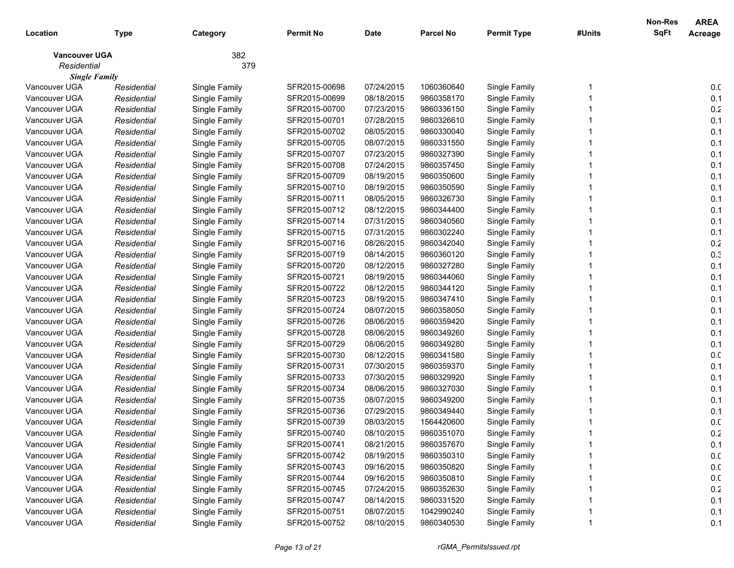| Location             | <b>Type</b> | Category      | <b>Permit No</b> | <b>Date</b> | <b>Parcel No</b> | <b>Permit Type</b> | #Units | Non-Res<br><b>SqFt</b> | <b>AREA</b><br>Acreage |
|----------------------|-------------|---------------|------------------|-------------|------------------|--------------------|--------|------------------------|------------------------|
| <b>Vancouver UGA</b> |             | 382           |                  |             |                  |                    |        |                        |                        |
| Residential          |             | 379           |                  |             |                  |                    |        |                        |                        |
| <b>Single Family</b> |             |               |                  |             |                  |                    |        |                        |                        |
| Vancouver UGA        | Residential | Single Family | SFR2015-00698    | 07/24/2015  | 1060360640       | Single Family      |        |                        | 0.0                    |
| Vancouver UGA        | Residential | Single Family | SFR2015-00699    | 08/18/2015  | 9860358170       | Single Family      |        |                        | 0.1                    |
| Vancouver UGA        | Residential | Single Family | SFR2015-00700    | 07/23/2015  | 9860336150       | Single Family      |        |                        | 0.2                    |
| Vancouver UGA        | Residential | Single Family | SFR2015-00701    | 07/28/2015  | 9860326610       | Single Family      |        |                        | 0.1                    |
| Vancouver UGA        | Residential | Single Family | SFR2015-00702    | 08/05/2015  | 9860330040       | Single Family      |        |                        | 0.1                    |
| Vancouver UGA        | Residential | Single Family | SFR2015-00705    | 08/07/2015  | 9860331550       | Single Family      |        |                        | 0.1                    |
| Vancouver UGA        | Residential | Single Family | SFR2015-00707    | 07/23/2015  | 9860327390       | Single Family      |        |                        | 0.1                    |
| Vancouver UGA        | Residential | Single Family | SFR2015-00708    | 07/24/2015  | 9860357450       | Single Family      |        |                        | 0.1                    |
| Vancouver UGA        | Residential | Single Family | SFR2015-00709    | 08/19/2015  | 9860350600       | Single Family      |        |                        | 0.1                    |
| Vancouver UGA        | Residential | Single Family | SFR2015-00710    | 08/19/2015  | 9860350590       | Single Family      |        |                        | 0.1                    |
| Vancouver UGA        | Residential | Single Family | SFR2015-00711    | 08/05/2015  | 9860326730       | Single Family      |        |                        | 0.1                    |
| Vancouver UGA        | Residential | Single Family | SFR2015-00712    | 08/12/2015  | 9860344400       | Single Family      |        |                        | 0.1                    |
| Vancouver UGA        | Residential | Single Family | SFR2015-00714    | 07/31/2015  | 9860340560       | Single Family      |        |                        | 0.1                    |
| Vancouver UGA        | Residential | Single Family | SFR2015-00715    | 07/31/2015  | 9860302240       | Single Family      |        |                        | 0.1                    |
| Vancouver UGA        | Residential | Single Family | SFR2015-00716    | 08/26/2015  | 9860342040       | Single Family      |        |                        | 0.2                    |
| Vancouver UGA        | Residential | Single Family | SFR2015-00719    | 08/14/2015  | 9860360120       | Single Family      |        |                        | 0.3                    |
| Vancouver UGA        | Residential | Single Family | SFR2015-00720    | 08/12/2015  | 9860327280       | Single Family      |        |                        | 0.1                    |
| Vancouver UGA        | Residential | Single Family | SFR2015-00721    | 08/19/2015  | 9860344060       | Single Family      |        |                        | 0.1                    |
| Vancouver UGA        | Residential | Single Family | SFR2015-00722    | 08/12/2015  | 9860344120       | Single Family      |        |                        | 0.1                    |
| Vancouver UGA        | Residential | Single Family | SFR2015-00723    | 08/19/2015  | 9860347410       | Single Family      |        |                        | 0.1                    |
| Vancouver UGA        | Residential | Single Family | SFR2015-00724    | 08/07/2015  | 9860358050       | Single Family      |        |                        | 0.1                    |
| Vancouver UGA        | Residential | Single Family | SFR2015-00726    | 08/06/2015  | 9860359420       | Single Family      |        |                        | 0.1                    |
| Vancouver UGA        | Residential | Single Family | SFR2015-00728    | 08/06/2015  | 9860349260       | Single Family      |        |                        | 0.1                    |
| Vancouver UGA        | Residential | Single Family | SFR2015-00729    | 08/06/2015  | 9860349280       | Single Family      |        |                        | 0.1                    |
| Vancouver UGA        | Residential | Single Family | SFR2015-00730    | 08/12/2015  | 9860341580       | Single Family      |        |                        | 0.0                    |
| Vancouver UGA        | Residential | Single Family | SFR2015-00731    | 07/30/2015  | 9860359370       | Single Family      |        |                        | 0.1                    |
| Vancouver UGA        | Residential | Single Family | SFR2015-00733    | 07/30/2015  | 9860329920       | Single Family      |        |                        | 0.1                    |
| Vancouver UGA        | Residential | Single Family | SFR2015-00734    | 08/06/2015  | 9860327030       | Single Family      |        |                        | 0.1                    |
| Vancouver UGA        | Residential | Single Family | SFR2015-00735    | 08/07/2015  | 9860349200       | Single Family      |        |                        | 0.1                    |
| Vancouver UGA        | Residential | Single Family | SFR2015-00736    | 07/29/2015  | 9860349440       | Single Family      |        |                        | 0.1                    |
| Vancouver UGA        | Residential | Single Family | SFR2015-00739    | 08/03/2015  | 1564420600       | Single Family      |        |                        | 0.0                    |
| Vancouver UGA        | Residential | Single Family | SFR2015-00740    | 08/10/2015  | 9860351070       | Single Family      |        |                        | 0.2                    |
| Vancouver UGA        | Residential | Single Family | SFR2015-00741    | 08/21/2015  | 9860357670       | Single Family      |        |                        | 0.1                    |
| Vancouver UGA        | Residential | Single Family | SFR2015-00742    | 08/19/2015  | 9860350310       | Single Family      |        |                        | 0.0                    |
| Vancouver UGA        | Residential | Single Family | SFR2015-00743    | 09/16/2015  | 9860350820       | Single Family      |        |                        | 0.0                    |
| Vancouver UGA        | Residential | Single Family | SFR2015-00744    | 09/16/2015  | 9860350810       | Single Family      |        |                        | 0.0                    |
| Vancouver UGA        | Residential | Single Family | SFR2015-00745    | 07/24/2015  | 9860352630       | Single Family      |        |                        | 0.2                    |
| Vancouver UGA        | Residential | Single Family | SFR2015-00747    | 08/14/2015  | 9860331520       | Single Family      |        |                        | 0.1                    |
| Vancouver UGA        | Residential | Single Family | SFR2015-00751    | 08/07/2015  | 1042990240       | Single Family      |        |                        | 0.1                    |
| Vancouver UGA        | Residential | Single Family | SFR2015-00752    | 08/10/2015  | 9860340530       | Single Family      | 1      |                        | 0.1                    |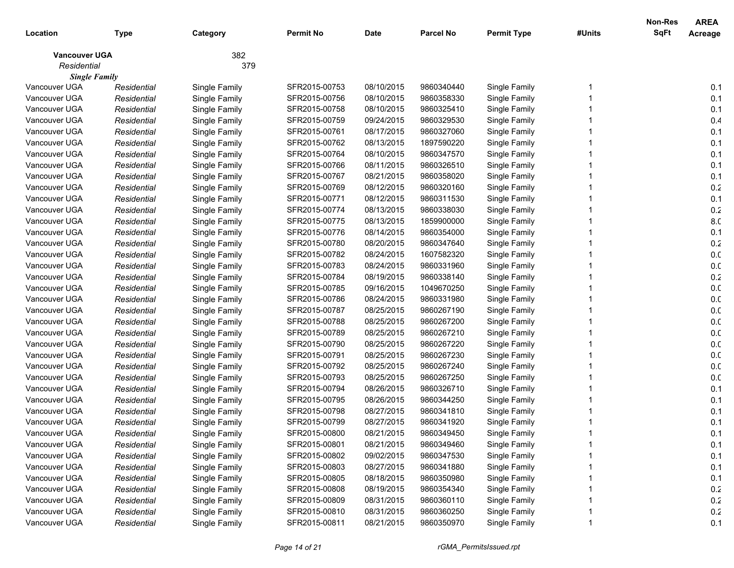| Location             | <b>Type</b> | Category      | <b>Permit No</b> | <b>Date</b> | <b>Parcel No</b> | <b>Permit Type</b> | #Units | Non-Res<br><b>SqFt</b> | <b>AREA</b><br>Acreage |
|----------------------|-------------|---------------|------------------|-------------|------------------|--------------------|--------|------------------------|------------------------|
| <b>Vancouver UGA</b> |             | 382           |                  |             |                  |                    |        |                        |                        |
| Residential          |             | 379           |                  |             |                  |                    |        |                        |                        |
| <b>Single Family</b> |             |               |                  |             |                  |                    |        |                        |                        |
| Vancouver UGA        | Residential | Single Family | SFR2015-00753    | 08/10/2015  | 9860340440       | Single Family      |        |                        | 0.1                    |
| Vancouver UGA        | Residential | Single Family | SFR2015-00756    | 08/10/2015  | 9860358330       | Single Family      |        |                        | 0.1                    |
| Vancouver UGA        | Residential | Single Family | SFR2015-00758    | 08/10/2015  | 9860325410       | Single Family      |        |                        | 0.1                    |
| Vancouver UGA        | Residential | Single Family | SFR2015-00759    | 09/24/2015  | 9860329530       | Single Family      |        |                        | 0.4                    |
| Vancouver UGA        | Residential | Single Family | SFR2015-00761    | 08/17/2015  | 9860327060       | Single Family      |        |                        | 0.1                    |
| Vancouver UGA        | Residential | Single Family | SFR2015-00762    | 08/13/2015  | 1897590220       | Single Family      |        |                        | 0.1                    |
| Vancouver UGA        | Residential | Single Family | SFR2015-00764    | 08/10/2015  | 9860347570       | Single Family      |        |                        | 0.1                    |
| Vancouver UGA        | Residential | Single Family | SFR2015-00766    | 08/11/2015  | 9860326510       | Single Family      |        |                        | 0.1                    |
| Vancouver UGA        | Residential | Single Family | SFR2015-00767    | 08/21/2015  | 9860358020       | Single Family      |        |                        | 0.1                    |
| Vancouver UGA        | Residential | Single Family | SFR2015-00769    | 08/12/2015  | 9860320160       | Single Family      |        |                        | $0.2\,$                |
| Vancouver UGA        | Residential | Single Family | SFR2015-00771    | 08/12/2015  | 9860311530       | Single Family      |        |                        | 0.1                    |
| Vancouver UGA        | Residential | Single Family | SFR2015-00774    | 08/13/2015  | 9860338030       | Single Family      |        |                        | $0.2\,$                |
| Vancouver UGA        | Residential | Single Family | SFR2015-00775    | 08/13/2015  | 1859900000       | Single Family      |        |                        | 8.C                    |
| Vancouver UGA        | Residential | Single Family | SFR2015-00776    | 08/14/2015  | 9860354000       | Single Family      |        |                        | 0.1                    |
| Vancouver UGA        | Residential | Single Family | SFR2015-00780    | 08/20/2015  | 9860347640       | Single Family      |        |                        | 0.2                    |
| Vancouver UGA        | Residential | Single Family | SFR2015-00782    | 08/24/2015  | 1607582320       | Single Family      |        |                        | 0. <sub>C</sub>        |
| Vancouver UGA        | Residential | Single Family | SFR2015-00783    | 08/24/2015  | 9860331960       | Single Family      |        |                        | 0. <sub>C</sub>        |
| Vancouver UGA        | Residential | Single Family | SFR2015-00784    | 08/19/2015  | 9860338140       | Single Family      |        |                        | $0.2\,$                |
| Vancouver UGA        | Residential | Single Family | SFR2015-00785    | 09/16/2015  | 1049670250       | Single Family      |        |                        | 0.0                    |
| Vancouver UGA        | Residential | Single Family | SFR2015-00786    | 08/24/2015  | 9860331980       | Single Family      |        |                        | 0.0                    |
| Vancouver UGA        | Residential | Single Family | SFR2015-00787    | 08/25/2015  | 9860267190       | Single Family      |        |                        | 0.0                    |
| Vancouver UGA        | Residential | Single Family | SFR2015-00788    | 08/25/2015  | 9860267200       | Single Family      |        |                        | 0.0                    |
| Vancouver UGA        | Residential | Single Family | SFR2015-00789    | 08/25/2015  | 9860267210       | Single Family      |        |                        | 0.0                    |
| Vancouver UGA        | Residential | Single Family | SFR2015-00790    | 08/25/2015  | 9860267220       | Single Family      |        |                        | 0.0                    |
| Vancouver UGA        | Residential | Single Family | SFR2015-00791    | 08/25/2015  | 9860267230       | Single Family      |        |                        | 0. <sub>C</sub>        |
| Vancouver UGA        | Residential | Single Family | SFR2015-00792    | 08/25/2015  | 9860267240       | Single Family      |        |                        | 0.0                    |
| Vancouver UGA        | Residential | Single Family | SFR2015-00793    | 08/25/2015  | 9860267250       | Single Family      |        |                        | 0.0                    |
| Vancouver UGA        | Residential | Single Family | SFR2015-00794    | 08/26/2015  | 9860326710       | Single Family      |        |                        | 0.1                    |
| Vancouver UGA        | Residential | Single Family | SFR2015-00795    | 08/26/2015  | 9860344250       | Single Family      |        |                        | 0.1                    |
| Vancouver UGA        | Residential | Single Family | SFR2015-00798    | 08/27/2015  | 9860341810       | Single Family      |        |                        | 0.1                    |
| Vancouver UGA        | Residential | Single Family | SFR2015-00799    | 08/27/2015  | 9860341920       | Single Family      |        |                        | 0.1                    |
| Vancouver UGA        | Residential | Single Family | SFR2015-00800    | 08/21/2015  | 9860349450       | Single Family      |        |                        | 0.1                    |
| Vancouver UGA        | Residential | Single Family | SFR2015-00801    | 08/21/2015  | 9860349460       | Single Family      |        |                        | 0.1                    |
| Vancouver UGA        | Residential | Single Family | SFR2015-00802    | 09/02/2015  | 9860347530       | Single Family      |        |                        | 0.1                    |
| Vancouver UGA        | Residential | Single Family | SFR2015-00803    | 08/27/2015  | 9860341880       | Single Family      |        |                        | 0.1                    |
| Vancouver UGA        | Residential | Single Family | SFR2015-00805    | 08/18/2015  | 9860350980       | Single Family      |        |                        | 0.1                    |
| Vancouver UGA        | Residential | Single Family | SFR2015-00808    | 08/19/2015  | 9860354340       | Single Family      |        |                        | 0.2                    |
| Vancouver UGA        | Residential | Single Family | SFR2015-00809    | 08/31/2015  | 9860360110       | Single Family      |        |                        | $0.2\,$                |
| Vancouver UGA        | Residential | Single Family | SFR2015-00810    | 08/31/2015  | 9860360250       | Single Family      |        |                        | $0.2\,$                |
| Vancouver UGA        | Residential | Single Family | SFR2015-00811    | 08/21/2015  | 9860350970       | Single Family      | 1      |                        | 0.1                    |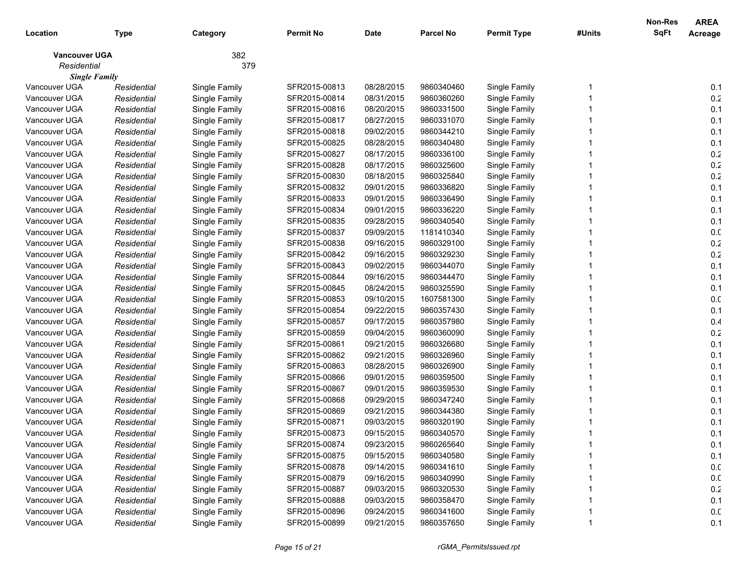|                      |             |               |                  |             |                  |                    |        | <b>Non-Res</b> | <b>AREA</b>     |
|----------------------|-------------|---------------|------------------|-------------|------------------|--------------------|--------|----------------|-----------------|
| Location             | Type        | Category      | <b>Permit No</b> | <b>Date</b> | <b>Parcel No</b> | <b>Permit Type</b> | #Units | <b>SqFt</b>    | Acreage         |
| <b>Vancouver UGA</b> |             | 382           |                  |             |                  |                    |        |                |                 |
| Residential          |             | 379           |                  |             |                  |                    |        |                |                 |
| <b>Single Family</b> |             |               |                  |             |                  |                    |        |                |                 |
| Vancouver UGA        | Residential | Single Family | SFR2015-00813    | 08/28/2015  | 9860340460       | Single Family      |        |                | 0.1             |
| Vancouver UGA        | Residential | Single Family | SFR2015-00814    | 08/31/2015  | 9860360260       | Single Family      |        |                | 0.2             |
| Vancouver UGA        | Residential | Single Family | SFR2015-00816    | 08/20/2015  | 9860331500       | Single Family      |        |                | 0.1             |
| Vancouver UGA        | Residential | Single Family | SFR2015-00817    | 08/27/2015  | 9860331070       | Single Family      |        |                | 0.1             |
| Vancouver UGA        | Residential | Single Family | SFR2015-00818    | 09/02/2015  | 9860344210       | Single Family      |        |                | 0.1             |
| Vancouver UGA        | Residential | Single Family | SFR2015-00825    | 08/28/2015  | 9860340480       | Single Family      |        |                | 0.1             |
| Vancouver UGA        | Residential | Single Family | SFR2015-00827    | 08/17/2015  | 9860336100       | Single Family      |        |                | 0.2             |
| Vancouver UGA        | Residential | Single Family | SFR2015-00828    | 08/17/2015  | 9860325600       | Single Family      |        |                | 0.2             |
| Vancouver UGA        | Residential | Single Family | SFR2015-00830    | 08/18/2015  | 9860325840       | Single Family      |        |                | 0.2             |
| Vancouver UGA        | Residential | Single Family | SFR2015-00832    | 09/01/2015  | 9860336820       | Single Family      |        |                | 0.1             |
| Vancouver UGA        | Residential | Single Family | SFR2015-00833    | 09/01/2015  | 9860336490       | Single Family      |        |                | 0.1             |
| Vancouver UGA        | Residential | Single Family | SFR2015-00834    | 09/01/2015  | 9860336220       | Single Family      |        |                | 0.1             |
| Vancouver UGA        | Residential | Single Family | SFR2015-00835    | 09/28/2015  | 9860340540       | Single Family      |        |                | 0.1             |
| Vancouver UGA        | Residential | Single Family | SFR2015-00837    | 09/09/2015  | 1181410340       | Single Family      |        |                | 0. <sub>C</sub> |
| Vancouver UGA        | Residential | Single Family | SFR2015-00838    | 09/16/2015  | 9860329100       | Single Family      |        |                | 0.2             |
| Vancouver UGA        | Residential | Single Family | SFR2015-00842    | 09/16/2015  | 9860329230       | Single Family      |        |                | 0.2             |
| Vancouver UGA        | Residential | Single Family | SFR2015-00843    | 09/02/2015  | 9860344070       | Single Family      |        |                | 0.1             |
| Vancouver UGA        | Residential | Single Family | SFR2015-00844    | 09/16/2015  | 9860344470       | Single Family      |        |                | 0.1             |
| Vancouver UGA        | Residential | Single Family | SFR2015-00845    | 08/24/2015  | 9860325590       | Single Family      |        |                | 0.1             |
| Vancouver UGA        | Residential | Single Family | SFR2015-00853    | 09/10/2015  | 1607581300       | Single Family      |        |                | 0. <sub>C</sub> |
| Vancouver UGA        | Residential | Single Family | SFR2015-00854    | 09/22/2015  | 9860357430       | Single Family      |        |                | 0.1             |
| Vancouver UGA        | Residential | Single Family | SFR2015-00857    | 09/17/2015  | 9860357980       | Single Family      |        |                | 0.4             |
| Vancouver UGA        | Residential | Single Family | SFR2015-00859    | 09/04/2015  | 9860360090       | Single Family      |        |                | 0.2             |
| Vancouver UGA        | Residential | Single Family | SFR2015-00861    | 09/21/2015  | 9860326680       | Single Family      |        |                | 0.1             |
| Vancouver UGA        | Residential | Single Family | SFR2015-00862    | 09/21/2015  | 9860326960       | Single Family      |        |                | 0.1             |
| Vancouver UGA        | Residential | Single Family | SFR2015-00863    | 08/28/2015  | 9860326900       | Single Family      |        |                | 0.1             |
| Vancouver UGA        | Residential | Single Family | SFR2015-00866    | 09/01/2015  | 9860359500       | Single Family      |        |                | 0.1             |
| Vancouver UGA        | Residential | Single Family | SFR2015-00867    | 09/01/2015  | 9860359530       | Single Family      |        |                | 0.1             |
| Vancouver UGA        | Residential | Single Family | SFR2015-00868    | 09/29/2015  | 9860347240       | Single Family      |        |                | 0.1             |
| Vancouver UGA        | Residential | Single Family | SFR2015-00869    | 09/21/2015  | 9860344380       | Single Family      |        |                | 0.1             |
| Vancouver UGA        | Residential | Single Family | SFR2015-00871    | 09/03/2015  | 9860320190       | Single Family      |        |                | 0.1             |
| Vancouver UGA        | Residential | Single Family | SFR2015-00873    | 09/15/2015  | 9860340570       | Single Family      |        |                | 0.1             |
| Vancouver UGA        | Residential | Single Family | SFR2015-00874    | 09/23/2015  | 9860265640       | Single Family      |        |                | 0.1             |
| Vancouver UGA        | Residential | Single Family | SFR2015-00875    | 09/15/2015  | 9860340580       | Single Family      |        |                | 0.1             |
| Vancouver UGA        | Residential | Single Family | SFR2015-00878    | 09/14/2015  | 9860341610       | Single Family      |        |                | 0.0             |
| Vancouver UGA        | Residential | Single Family | SFR2015-00879    | 09/16/2015  | 9860340990       | Single Family      |        |                | 0.0             |
| Vancouver UGA        | Residential | Single Family | SFR2015-00887    | 09/03/2015  | 9860320530       | Single Family      |        |                | 0.2             |
| Vancouver UGA        | Residential | Single Family | SFR2015-00888    | 09/03/2015  | 9860358470       | Single Family      |        |                | 0.1             |
| Vancouver UGA        | Residential | Single Family | SFR2015-00896    | 09/24/2015  | 9860341600       | Single Family      |        |                | 0.0             |
| Vancouver UGA        | Residential | Single Family | SFR2015-00899    | 09/21/2015  | 9860357650       | Single Family      |        |                | 0.1             |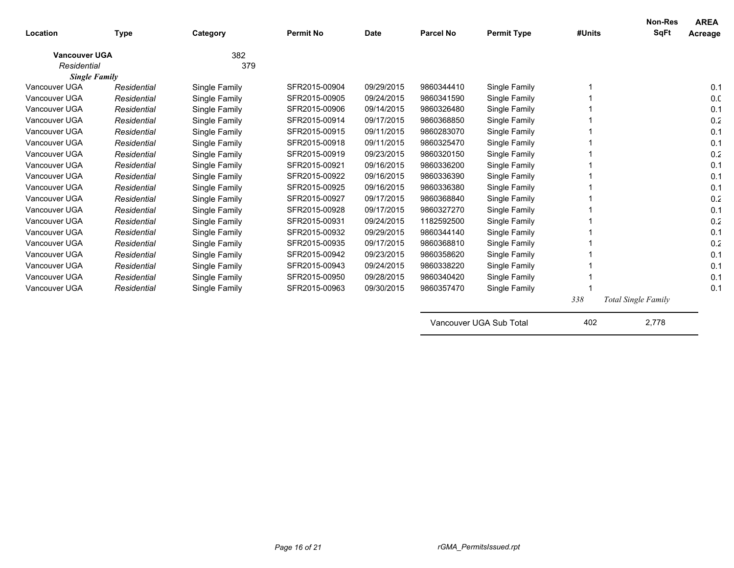| Location                            | <b>Type</b> | Category      | <b>Permit No</b> | <b>Date</b> | <b>Parcel No</b> | <b>Permit Type</b>      | #Units | <b>Non-Res</b><br><b>SqFt</b> | <b>AREA</b><br>Acreage |
|-------------------------------------|-------------|---------------|------------------|-------------|------------------|-------------------------|--------|-------------------------------|------------------------|
|                                     |             |               |                  |             |                  |                         |        |                               |                        |
| <b>Vancouver UGA</b><br>Residential |             | 382<br>379    |                  |             |                  |                         |        |                               |                        |
| <b>Single Family</b>                |             |               |                  |             |                  |                         |        |                               |                        |
| Vancouver UGA                       | Residential | Single Family | SFR2015-00904    | 09/29/2015  | 9860344410       | Single Family           |        |                               | 0.1                    |
| Vancouver UGA                       | Residential | Single Family | SFR2015-00905    | 09/24/2015  | 9860341590       | Single Family           |        |                               | 0.0                    |
| Vancouver UGA                       | Residential | Single Family | SFR2015-00906    | 09/14/2015  | 9860326480       | Single Family           |        |                               | 0.1                    |
| Vancouver UGA                       | Residential | Single Family | SFR2015-00914    | 09/17/2015  | 9860368850       | Single Family           |        |                               | 0.2                    |
| Vancouver UGA                       | Residential | Single Family | SFR2015-00915    | 09/11/2015  | 9860283070       | Single Family           |        |                               | 0.1                    |
| Vancouver UGA                       | Residential | Single Family | SFR2015-00918    | 09/11/2015  | 9860325470       | Single Family           |        |                               | 0.1                    |
| Vancouver UGA                       | Residential | Single Family | SFR2015-00919    | 09/23/2015  | 9860320150       | Single Family           |        |                               | 0.2                    |
| Vancouver UGA                       | Residential | Single Family | SFR2015-00921    | 09/16/2015  | 9860336200       | Single Family           |        |                               | 0.1                    |
| Vancouver UGA                       | Residential | Single Family | SFR2015-00922    | 09/16/2015  | 9860336390       | Single Family           |        |                               | 0.1                    |
| Vancouver UGA                       | Residential | Single Family | SFR2015-00925    | 09/16/2015  | 9860336380       | Single Family           |        |                               | 0.1                    |
| Vancouver UGA                       | Residential | Single Family | SFR2015-00927    | 09/17/2015  | 9860368840       | Single Family           |        |                               | 0.2                    |
| Vancouver UGA                       | Residential | Single Family | SFR2015-00928    | 09/17/2015  | 9860327270       | Single Family           |        |                               | 0.1                    |
| Vancouver UGA                       | Residential | Single Family | SFR2015-00931    | 09/24/2015  | 1182592500       | Single Family           |        |                               | 0.2                    |
| Vancouver UGA                       | Residential | Single Family | SFR2015-00932    | 09/29/2015  | 9860344140       | Single Family           |        |                               | 0.1                    |
| Vancouver UGA                       | Residential | Single Family | SFR2015-00935    | 09/17/2015  | 9860368810       | Single Family           |        |                               | 0.2                    |
| Vancouver UGA                       | Residential | Single Family | SFR2015-00942    | 09/23/2015  | 9860358620       | Single Family           |        |                               | 0.1                    |
| Vancouver UGA                       | Residential | Single Family | SFR2015-00943    | 09/24/2015  | 9860338220       | Single Family           |        |                               | 0.1                    |
| Vancouver UGA                       | Residential | Single Family | SFR2015-00950    | 09/28/2015  | 9860340420       | Single Family           |        |                               | 0.1                    |
| Vancouver UGA                       | Residential | Single Family | SFR2015-00963    | 09/30/2015  | 9860357470       | Single Family           |        |                               | 0.1                    |
|                                     |             |               |                  |             |                  |                         | 338    | <b>Total Single Family</b>    |                        |
|                                     |             |               |                  |             |                  | Vancouver UGA Sub Total | 402    | 2,778                         |                        |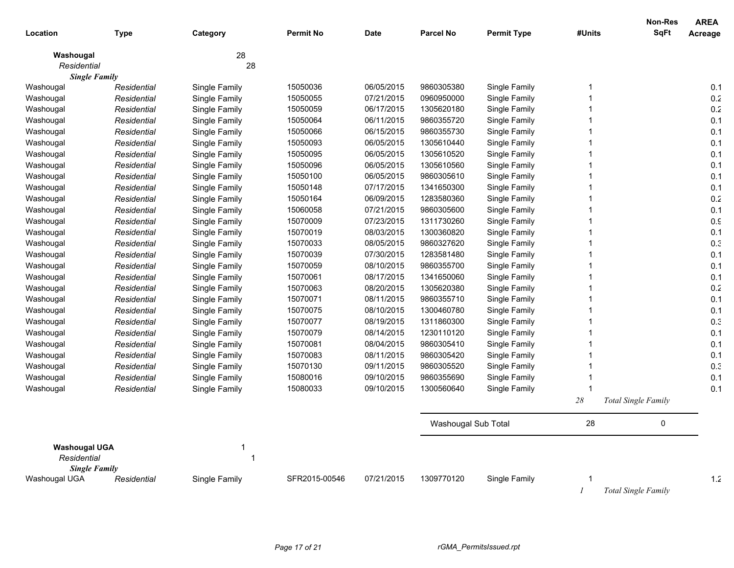|                      |             |               |                  |             |                     |                    |              | <b>Non-Res</b>             | <b>AREA</b> |
|----------------------|-------------|---------------|------------------|-------------|---------------------|--------------------|--------------|----------------------------|-------------|
| Location             | <b>Type</b> | Category      | <b>Permit No</b> | <b>Date</b> | <b>Parcel No</b>    | <b>Permit Type</b> | #Units       | <b>SqFt</b>                | Acreage     |
| Washougal            |             | 28            |                  |             |                     |                    |              |                            |             |
| Residential          |             | 28            |                  |             |                     |                    |              |                            |             |
| <b>Single Family</b> |             |               |                  |             |                     |                    |              |                            |             |
| Washougal            | Residential | Single Family | 15050036         | 06/05/2015  | 9860305380          | Single Family      | 1            |                            | 0.1         |
| Washougal            | Residential | Single Family | 15050055         | 07/21/2015  | 0960950000          | Single Family      | 1            |                            | $0.2\,$     |
| Washougal            | Residential | Single Family | 15050059         | 06/17/2015  | 1305620180          | Single Family      | 1            |                            | 0.2         |
| Washougal            | Residential | Single Family | 15050064         | 06/11/2015  | 9860355720          | Single Family      | 1            |                            | 0.1         |
| Washougal            | Residential | Single Family | 15050066         | 06/15/2015  | 9860355730          | Single Family      |              |                            | 0.1         |
| Washougal            | Residential | Single Family | 15050093         | 06/05/2015  | 1305610440          | Single Family      | $\mathbf{1}$ |                            | 0.1         |
| Washougal            | Residential | Single Family | 15050095         | 06/05/2015  | 1305610520          | Single Family      | 1            |                            | 0.1         |
| Washougal            | Residential | Single Family | 15050096         | 06/05/2015  | 1305610560          | Single Family      |              |                            | 0.1         |
| Washougal            | Residential | Single Family | 15050100         | 06/05/2015  | 9860305610          | Single Family      |              |                            | 0.1         |
| Washougal            | Residential | Single Family | 15050148         | 07/17/2015  | 1341650300          | Single Family      | 1            |                            | 0.1         |
| Washougal            | Residential | Single Family | 15050164         | 06/09/2015  | 1283580360          | Single Family      |              |                            | 0.2         |
| Washougal            | Residential | Single Family | 15060058         | 07/21/2015  | 9860305600          | Single Family      | 1            |                            | 0.1         |
| Washougal            | Residential | Single Family | 15070009         | 07/23/2015  | 1311730260          | Single Family      |              |                            | 0.9         |
| Washougal            | Residential | Single Family | 15070019         | 08/03/2015  | 1300360820          | Single Family      | 1            |                            | 0.1         |
| Washougal            | Residential | Single Family | 15070033         | 08/05/2015  | 9860327620          | Single Family      | 1            |                            | 0.3         |
| Washougal            | Residential | Single Family | 15070039         | 07/30/2015  | 1283581480          | Single Family      |              |                            | 0.1         |
| Washougal            | Residential | Single Family | 15070059         | 08/10/2015  | 9860355700          | Single Family      |              |                            | 0.1         |
| Washougal            | Residential | Single Family | 15070061         | 08/17/2015  | 1341650060          | Single Family      | $\mathbf{1}$ |                            | 0.1         |
| Washougal            | Residential | Single Family | 15070063         | 08/20/2015  | 1305620380          | Single Family      | 1            |                            | 0.2         |
| Washougal            | Residential | Single Family | 15070071         | 08/11/2015  | 9860355710          | Single Family      |              |                            | 0.1         |
| Washougal            | Residential | Single Family | 15070075         | 08/10/2015  | 1300460780          | Single Family      |              |                            | 0.1         |
| Washougal            | Residential | Single Family | 15070077         | 08/19/2015  | 1311860300          | Single Family      | 1            |                            | 0.3         |
| Washougal            | Residential | Single Family | 15070079         | 08/14/2015  | 1230110120          | Single Family      |              |                            | 0.1         |
| Washougal            | Residential | Single Family | 15070081         | 08/04/2015  | 9860305410          | Single Family      | 1            |                            | 0.1         |
| Washougal            | Residential | Single Family | 15070083         | 08/11/2015  | 9860305420          | Single Family      |              |                            | 0.1         |
| Washougal            | Residential | Single Family | 15070130         | 09/11/2015  | 9860305520          | Single Family      | 1            |                            | 0.3         |
| Washougal            | Residential | Single Family | 15080016         | 09/10/2015  | 9860355690          | Single Family      | 1            |                            | 0.1         |
| Washougal            | Residential | Single Family | 15080033         | 09/10/2015  | 1300560640          | Single Family      | 1            |                            | 0.1         |
|                      |             |               |                  |             |                     |                    | $28\,$       | <b>Total Single Family</b> |             |
|                      |             |               |                  |             | Washougal Sub Total |                    | 28           | 0                          |             |
| <b>Washougal UGA</b> |             | 1             |                  |             |                     |                    |              |                            |             |
| Residential          |             | 1             |                  |             |                     |                    |              |                            |             |
| <b>Single Family</b> |             |               |                  |             |                     |                    |              |                            |             |
| Washougal UGA        | Residential | Single Family | SFR2015-00546    | 07/21/2015  | 1309770120          | Single Family      |              |                            | 1.2         |
|                      |             |               |                  |             |                     |                    |              | Total Single Family        |             |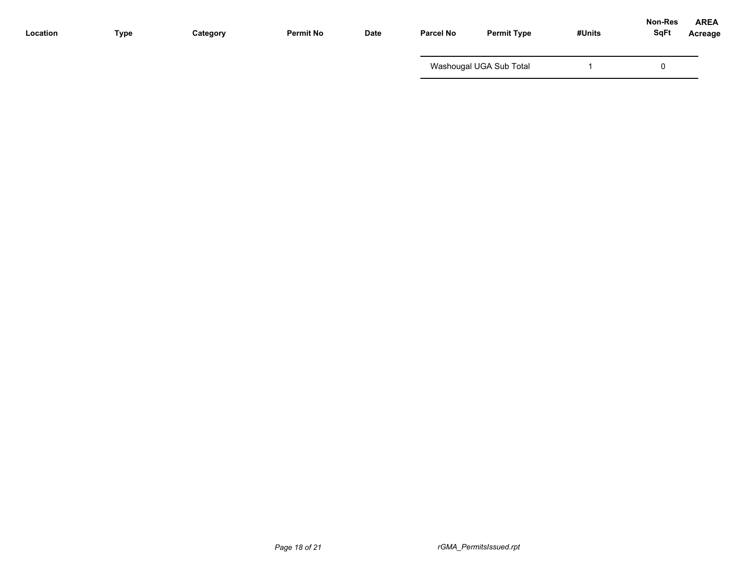| Location | Type | Category | <b>Permit No</b> | <b>Date</b> | <b>Parcel No</b> | <b>Permit Type</b>      | #Units | <b>Non-Res</b><br><b>SqFt</b> | <b>AREA</b><br><b>Acreage</b> |
|----------|------|----------|------------------|-------------|------------------|-------------------------|--------|-------------------------------|-------------------------------|
|          |      |          |                  |             |                  | Washougal UGA Sub Total |        |                               |                               |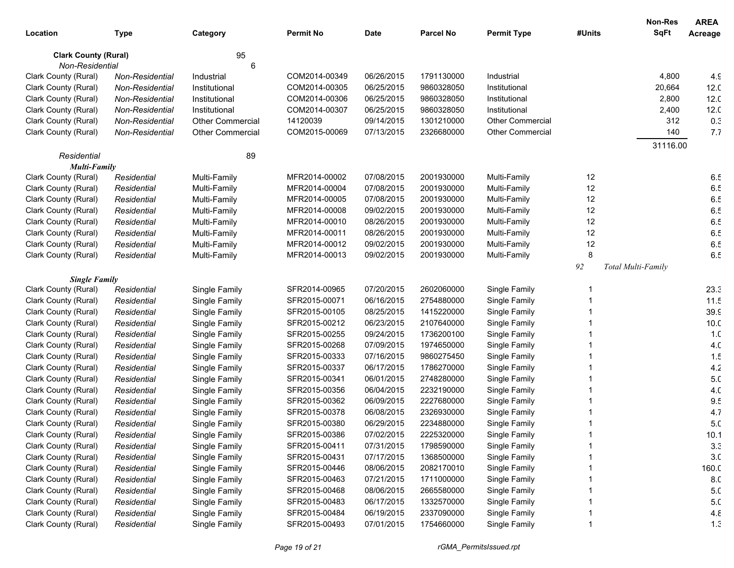|                             |                 |                         |                  |             |                  |                         |        | <b>Non-Res</b>     | <b>AREA</b>     |
|-----------------------------|-----------------|-------------------------|------------------|-------------|------------------|-------------------------|--------|--------------------|-----------------|
| Location                    | <b>Type</b>     | Category                | <b>Permit No</b> | <b>Date</b> | <b>Parcel No</b> | <b>Permit Type</b>      | #Units | <b>SqFt</b>        | Acreage         |
| <b>Clark County (Rural)</b> |                 | 95                      |                  |             |                  |                         |        |                    |                 |
| Non-Residential             |                 | 6                       |                  |             |                  |                         |        |                    |                 |
| Clark County (Rural)        | Non-Residential | Industrial              | COM2014-00349    | 06/26/2015  | 1791130000       | Industrial              |        | 4,800              | 4.9             |
| Clark County (Rural)        | Non-Residential | Institutional           | COM2014-00305    | 06/25/2015  | 9860328050       | Institutional           |        | 20,664             | 12.0            |
| Clark County (Rural)        | Non-Residential | Institutional           | COM2014-00306    | 06/25/2015  | 9860328050       | Institutional           |        | 2,800              | 12.0            |
| Clark County (Rural)        | Non-Residential | Institutional           | COM2014-00307    | 06/25/2015  | 9860328050       | Institutional           |        | 2,400              | 12.0            |
| Clark County (Rural)        | Non-Residential | <b>Other Commercial</b> | 14120039         | 09/14/2015  | 1301210000       | <b>Other Commercial</b> |        | 312                | 0.3             |
| Clark County (Rural)        | Non-Residential | <b>Other Commercial</b> | COM2015-00069    | 07/13/2015  | 2326680000       | <b>Other Commercial</b> |        | 140                | 7.7             |
|                             |                 |                         |                  |             |                  |                         |        | 31116.00           |                 |
| Residential                 |                 | 89                      |                  |             |                  |                         |        |                    |                 |
| <b>Multi-Family</b>         |                 |                         |                  |             |                  |                         |        |                    |                 |
| Clark County (Rural)        | Residential     | Multi-Family            | MFR2014-00002    | 07/08/2015  | 2001930000       | Multi-Family            | 12     |                    | 6.5             |
| Clark County (Rural)        | Residential     | Multi-Family            | MFR2014-00004    | 07/08/2015  | 2001930000       | Multi-Family            | 12     |                    | 6.5             |
| Clark County (Rural)        | Residential     | Multi-Family            | MFR2014-00005    | 07/08/2015  | 2001930000       | Multi-Family            | 12     |                    | 6.5             |
| Clark County (Rural)        | Residential     | Multi-Family            | MFR2014-00008    | 09/02/2015  | 2001930000       | Multi-Family            | 12     |                    | 6.5             |
| Clark County (Rural)        | Residential     | Multi-Family            | MFR2014-00010    | 08/26/2015  | 2001930000       | Multi-Family            | 12     |                    | 6.5             |
| Clark County (Rural)        | Residential     | Multi-Family            | MFR2014-00011    | 08/26/2015  | 2001930000       | Multi-Family            | 12     |                    | 6.5             |
| Clark County (Rural)        | Residential     | Multi-Family            | MFR2014-00012    | 09/02/2015  | 2001930000       | Multi-Family            | 12     |                    | 6.5             |
| Clark County (Rural)        | Residential     | Multi-Family            | MFR2014-00013    | 09/02/2015  | 2001930000       | Multi-Family            | 8      |                    | 6.5             |
|                             |                 |                         |                  |             |                  |                         | 92     | Total Multi-Family |                 |
| <b>Single Family</b>        |                 |                         |                  |             |                  |                         |        |                    |                 |
| Clark County (Rural)        | Residential     | Single Family           | SFR2014-00965    | 07/20/2015  | 2602060000       | Single Family           |        |                    | 23.3            |
| Clark County (Rural)        | Residential     | Single Family           | SFR2015-00071    | 06/16/2015  | 2754880000       | Single Family           |        |                    | 11.5            |
| Clark County (Rural)        | Residential     | Single Family           | SFR2015-00105    | 08/25/2015  | 1415220000       | Single Family           |        |                    | 39.9            |
| Clark County (Rural)        | Residential     | Single Family           | SFR2015-00212    | 06/23/2015  | 2107640000       | Single Family           |        |                    | 10.0            |
| Clark County (Rural)        | Residential     | Single Family           | SFR2015-00255    | 09/24/2015  | 1736200100       | Single Family           |        |                    | 1. <sub>C</sub> |
| Clark County (Rural)        | Residential     | Single Family           | SFR2015-00268    | 07/09/2015  | 1974650000       | Single Family           |        |                    | 4. <sub>C</sub> |
| Clark County (Rural)        | Residential     | Single Family           | SFR2015-00333    | 07/16/2015  | 9860275450       | Single Family           |        |                    | 1.5             |
| Clark County (Rural)        | Residential     | Single Family           | SFR2015-00337    | 06/17/2015  | 1786270000       | Single Family           |        |                    | 4.2             |
| Clark County (Rural)        | Residential     | Single Family           | SFR2015-00341    | 06/01/2015  | 2748280000       | Single Family           |        |                    | 5. <sub>C</sub> |
| Clark County (Rural)        | Residential     | Single Family           | SFR2015-00356    | 06/04/2015  | 2232190000       | Single Family           |        |                    | 4.0             |
| Clark County (Rural)        | Residential     | Single Family           | SFR2015-00362    | 06/09/2015  | 2227680000       | Single Family           |        |                    | 9.5             |
| Clark County (Rural)        | Residential     | Single Family           | SFR2015-00378    | 06/08/2015  | 2326930000       | Single Family           |        |                    | 4.7             |
| Clark County (Rural)        | Residential     | Single Family           | SFR2015-00380    | 06/29/2015  | 2234880000       | Single Family           |        |                    | 5. <sub>C</sub> |
| Clark County (Rural)        | Residential     | Single Family           | SFR2015-00386    | 07/02/2015  | 2225320000       | Single Family           |        |                    | 10.1            |
| Clark County (Rural)        | Residential     | Single Family           | SFR2015-00411    | 07/31/2015  | 1798590000       | Single Family           |        |                    | 3.3             |
| Clark County (Rural)        | Residential     | Single Family           | SFR2015-00431    | 07/17/2015  | 1368500000       | Single Family           |        |                    | 3. <sub>C</sub> |
| Clark County (Rural)        | Residential     | Single Family           | SFR2015-00446    | 08/06/2015  | 2082170010       | Single Family           |        |                    | 160.C           |
| Clark County (Rural)        | Residential     | Single Family           | SFR2015-00463    | 07/21/2015  | 1711000000       | Single Family           |        |                    | 8.C             |
| Clark County (Rural)        | Residential     | Single Family           | SFR2015-00468    | 08/06/2015  | 2665580000       | Single Family           |        |                    | 5. <sub>C</sub> |
| Clark County (Rural)        | Residential     | Single Family           | SFR2015-00483    | 06/17/2015  | 1332570000       | Single Family           |        |                    | 5. <sub>C</sub> |
| Clark County (Rural)        | Residential     | Single Family           | SFR2015-00484    | 06/19/2015  | 2337090000       | Single Family           |        |                    | 4.8             |
| Clark County (Rural)        | Residential     | Single Family           | SFR2015-00493    | 07/01/2015  | 1754660000       | Single Family           |        |                    | 1.3             |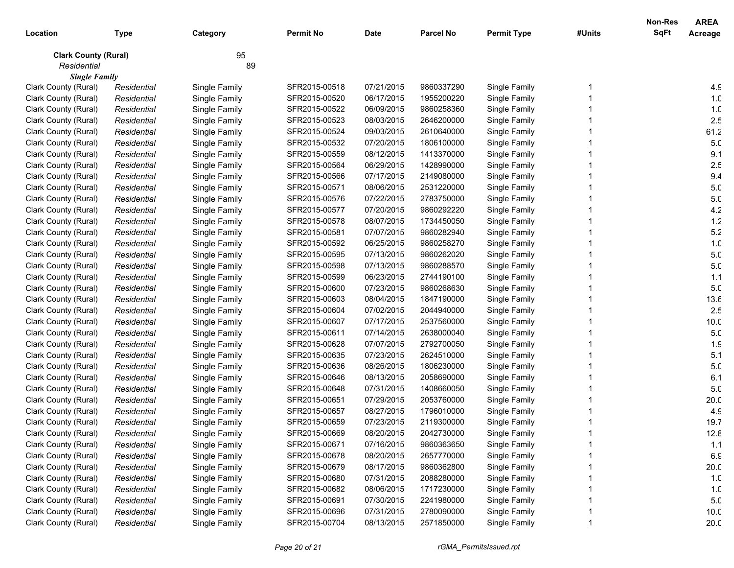|                             |             |               |                  |             |                  |                    |        | <b>Non-Res</b> | <b>AREA</b>     |
|-----------------------------|-------------|---------------|------------------|-------------|------------------|--------------------|--------|----------------|-----------------|
| Location                    | <b>Type</b> | Category      | <b>Permit No</b> | <b>Date</b> | <b>Parcel No</b> | <b>Permit Type</b> | #Units | <b>SqFt</b>    | Acreage         |
| <b>Clark County (Rural)</b> |             | 95            |                  |             |                  |                    |        |                |                 |
| Residential                 |             | 89            |                  |             |                  |                    |        |                |                 |
| <b>Single Family</b>        |             |               |                  |             |                  |                    |        |                |                 |
| Clark County (Rural)        | Residential | Single Family | SFR2015-00518    | 07/21/2015  | 9860337290       | Single Family      |        |                | 4.9             |
| Clark County (Rural)        | Residential | Single Family | SFR2015-00520    | 06/17/2015  | 1955200220       | Single Family      |        |                | 1. <sub>C</sub> |
| Clark County (Rural)        | Residential | Single Family | SFR2015-00522    | 06/09/2015  | 9860258360       | Single Family      |        |                | 1. <sub>C</sub> |
| Clark County (Rural)        | Residential | Single Family | SFR2015-00523    | 08/03/2015  | 2646200000       | Single Family      |        |                | 2.5             |
| Clark County (Rural)        | Residential | Single Family | SFR2015-00524    | 09/03/2015  | 2610640000       | Single Family      |        |                | 61.2            |
| Clark County (Rural)        | Residential | Single Family | SFR2015-00532    | 07/20/2015  | 1806100000       | Single Family      |        |                | 5. <sub>C</sub> |
| Clark County (Rural)        | Residential | Single Family | SFR2015-00559    | 08/12/2015  | 1413370000       | Single Family      |        |                | 9.1             |
| Clark County (Rural)        | Residential | Single Family | SFR2015-00564    | 06/29/2015  | 1428990000       | Single Family      |        |                | 2.5             |
| Clark County (Rural)        | Residential | Single Family | SFR2015-00566    | 07/17/2015  | 2149080000       | Single Family      |        |                | 9.4             |
| Clark County (Rural)        | Residential | Single Family | SFR2015-00571    | 08/06/2015  | 2531220000       | Single Family      |        |                | 5. <sub>C</sub> |
| Clark County (Rural)        | Residential | Single Family | SFR2015-00576    | 07/22/2015  | 2783750000       | Single Family      |        |                | 5. <sub>C</sub> |
| Clark County (Rural)        | Residential | Single Family | SFR2015-00577    | 07/20/2015  | 9860292220       | Single Family      |        |                | 4.2             |
| Clark County (Rural)        | Residential | Single Family | SFR2015-00578    | 08/07/2015  | 1734450050       | Single Family      |        |                | $1.2$           |
| Clark County (Rural)        | Residential | Single Family | SFR2015-00581    | 07/07/2015  | 9860282940       | Single Family      |        |                | 5.2             |
| Clark County (Rural)        | Residential | Single Family | SFR2015-00592    | 06/25/2015  | 9860258270       | Single Family      |        |                | 1. <sub>C</sub> |
| Clark County (Rural)        | Residential | Single Family | SFR2015-00595    | 07/13/2015  | 9860262020       | Single Family      |        |                | 5. <sub>C</sub> |
| Clark County (Rural)        | Residential | Single Family | SFR2015-00598    | 07/13/2015  | 9860288570       | Single Family      |        |                | 5. <sub>C</sub> |
| Clark County (Rural)        | Residential | Single Family | SFR2015-00599    | 06/23/2015  | 2744190100       | Single Family      |        |                | 1.1             |
| Clark County (Rural)        | Residential | Single Family | SFR2015-00600    | 07/23/2015  | 9860268630       | Single Family      |        |                | 5. <sub>C</sub> |
| Clark County (Rural)        | Residential | Single Family | SFR2015-00603    | 08/04/2015  | 1847190000       | Single Family      |        |                | 13.6            |
| Clark County (Rural)        | Residential | Single Family | SFR2015-00604    | 07/02/2015  | 2044940000       | Single Family      |        |                | 2.5             |
| Clark County (Rural)        | Residential | Single Family | SFR2015-00607    | 07/17/2015  | 2537560000       | Single Family      |        |                | 10.0            |
| Clark County (Rural)        | Residential | Single Family | SFR2015-00611    | 07/14/2015  | 2638000040       | Single Family      |        |                | 5. <sub>C</sub> |
| Clark County (Rural)        | Residential | Single Family | SFR2015-00628    | 07/07/2015  | 2792700050       | Single Family      |        |                | 1.9             |
| Clark County (Rural)        | Residential | Single Family | SFR2015-00635    | 07/23/2015  | 2624510000       | Single Family      |        |                | 5.1             |
| Clark County (Rural)        | Residential | Single Family | SFR2015-00636    | 08/26/2015  | 1806230000       | Single Family      |        |                | 5. <sub>C</sub> |
| Clark County (Rural)        | Residential | Single Family | SFR2015-00646    | 08/13/2015  | 2058690000       | Single Family      |        |                | 6.1             |
| Clark County (Rural)        | Residential | Single Family | SFR2015-00648    | 07/31/2015  | 1408660050       | Single Family      |        |                | 5. <sub>C</sub> |
| Clark County (Rural)        | Residential | Single Family | SFR2015-00651    | 07/29/2015  | 2053760000       | Single Family      |        |                | 20.0            |
| Clark County (Rural)        | Residential | Single Family | SFR2015-00657    | 08/27/2015  | 1796010000       | Single Family      |        |                | 4.9             |
| Clark County (Rural)        | Residential | Single Family | SFR2015-00659    | 07/23/2015  | 2119300000       | Single Family      |        |                | 19.7            |
| Clark County (Rural)        | Residential | Single Family | SFR2015-00669    | 08/20/2015  | 2042730000       | Single Family      |        |                | 12.8            |
| Clark County (Rural)        | Residential | Single Family | SFR2015-00671    | 07/16/2015  | 9860363650       | Single Family      |        |                | 1.1             |
| Clark County (Rural)        | Residential | Single Family | SFR2015-00678    | 08/20/2015  | 2657770000       | Single Family      |        |                | 6.9             |
| Clark County (Rural)        | Residential | Single Family | SFR2015-00679    | 08/17/2015  | 9860362800       | Single Family      |        |                | 20.0            |
| Clark County (Rural)        | Residential | Single Family | SFR2015-00680    | 07/31/2015  | 2088280000       | Single Family      |        |                | 1. <sub>C</sub> |
| Clark County (Rural)        | Residential | Single Family | SFR2015-00682    | 08/06/2015  | 1717230000       | Single Family      |        |                | 1. <sub>C</sub> |
| Clark County (Rural)        | Residential | Single Family | SFR2015-00691    | 07/30/2015  | 2241980000       | Single Family      |        |                | 5. <sub>C</sub> |
| Clark County (Rural)        | Residential | Single Family | SFR2015-00696    | 07/31/2015  | 2780090000       | Single Family      |        |                | 10.0            |
| Clark County (Rural)        | Residential | Single Family | SFR2015-00704    | 08/13/2015  | 2571850000       | Single Family      |        |                | 20.0            |